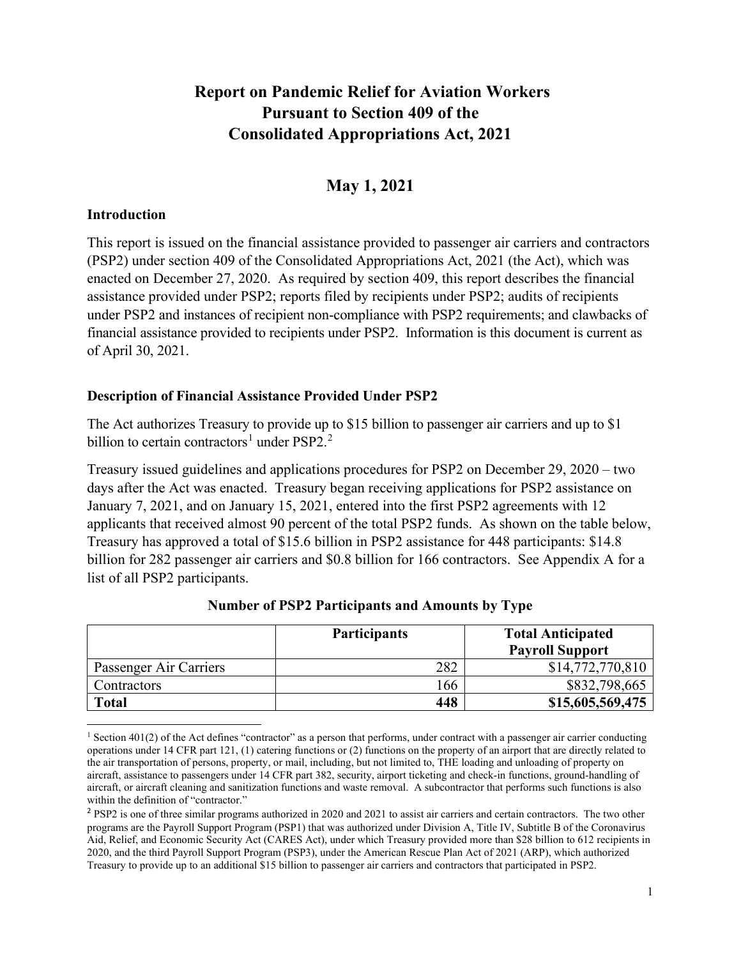### **Report on Pandemic Relief for Aviation Workers Pursuant to Section 409 of the Consolidated Appropriations Act, 2021**

### **May 1, 2021**

#### **Introduction**

This report is issued on the financial assistance provided to passenger air carriers and contractors (PSP2) under section 409 of the Consolidated Appropriations Act, 2021 (the Act), which was enacted on December 27, 2020. As required by section 409, this report describes the financial assistance provided under PSP2; reports filed by recipients under PSP2; audits of recipients under PSP2 and instances of recipient non-compliance with PSP2 requirements; and clawbacks of financial assistance provided to recipients under PSP2. Information is this document is current as of April 30, 2021.

#### **Description of Financial Assistance Provided Under PSP2**

The Act authorizes Treasury to provide up to \$15 billion to passenger air carriers and up to \$1 billion to certain contractors<sup>[1](#page-0-0)</sup> under PSP[2](#page-0-1).<sup>2</sup>

Treasury issued guidelines and applications procedures for PSP2 on December 29, 2020 – two days after the Act was enacted. Treasury began receiving applications for PSP2 assistance on January 7, 2021, and on January 15, 2021, entered into the first PSP2 agreements with 12 applicants that received almost 90 percent of the total PSP2 funds. As shown on the table below, Treasury has approved a total of \$15.6 billion in PSP2 assistance for 448 participants: \$14.8 billion for 282 passenger air carriers and \$0.8 billion for 166 contractors. See Appendix A for a list of all PSP2 participants.

|                        | <b>Participants</b> | <b>Total Anticipated</b><br><b>Payroll Support</b> |
|------------------------|---------------------|----------------------------------------------------|
| Passenger Air Carriers | 282                 | \$14,772,770,810                                   |
| Contractors            | 66                  | \$832,798,665                                      |
| <b>Total</b>           | 448                 | \$15,605,569,475                                   |

#### **Number of PSP2 Participants and Amounts by Type**

<span id="page-0-0"></span><sup>&</sup>lt;sup>1</sup> Section 401(2) of the Act defines "contractor" as a person that performs, under contract with a passenger air carrier conducting operations under 14 CFR part 121, (1) catering functions or (2) functions on the property of an airport that are directly related to the air transportation of persons, property, or mail, including, but not limited to, THE loading and unloading of property on aircraft, assistance to passengers under 14 CFR part 382, security, airport ticketing and check-in functions, ground-handling of aircraft, or aircraft cleaning and sanitization functions and waste removal. A subcontractor that performs such functions is also within the definition of "contractor."

<span id="page-0-1"></span><sup>&</sup>lt;sup>2</sup> PSP2 is one of three similar programs authorized in 2020 and 2021 to assist air carriers and certain contractors. The two other programs are the Payroll Support Program (PSP1) that was authorized under Division A, Title IV, Subtitle B of the Coronavirus Aid, Relief, and Economic Security Act (CARES Act), under which Treasury provided more than \$28 billion to 612 recipients in 2020, and the third Payroll Support Program (PSP3), under the American Rescue Plan Act of 2021 (ARP), which authorized Treasury to provide up to an additional \$15 billion to passenger air carriers and contractors that participated in PSP2.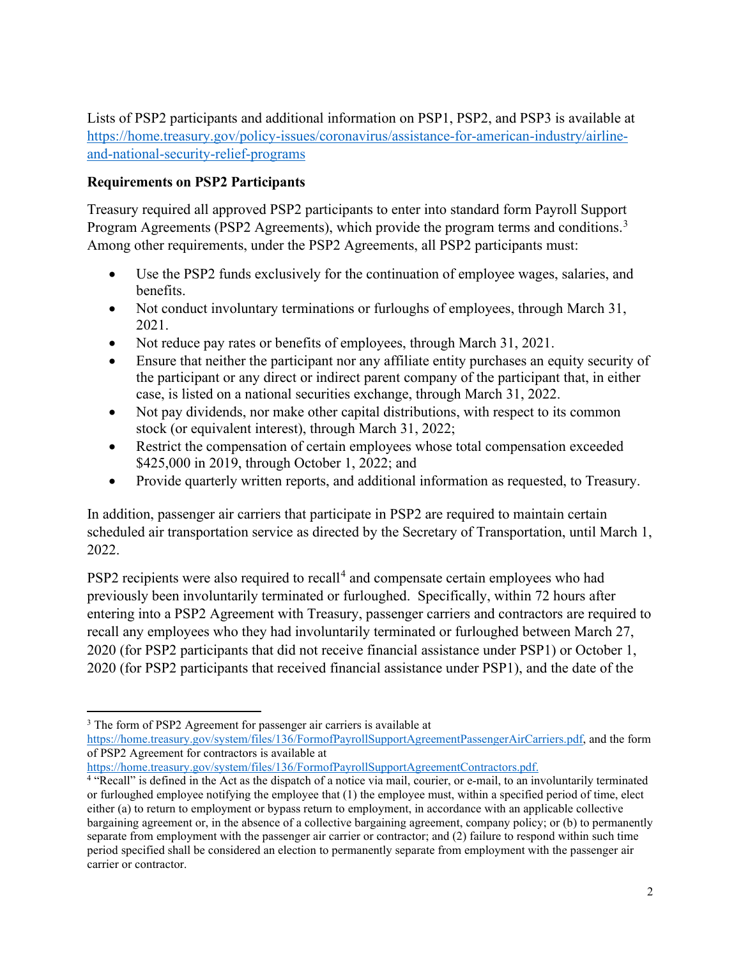Lists of PSP2 participants and additional information on PSP1, PSP2, and PSP3 is available at [https://home.treasury.gov/policy-issues/coronavirus/assistance-for-american-industry/airline](https://home.treasury.gov/policy-issues/coronavirus/assistance-for-american-industry/airline-and-national-security-relief-programs)[and-national-security-relief-programs](https://home.treasury.gov/policy-issues/coronavirus/assistance-for-american-industry/airline-and-national-security-relief-programs)

### **Requirements on PSP2 Participants**

Treasury required all approved PSP2 participants to enter into standard form Payroll Support Program Agreements (PSP2 Agreements), which provide the program terms and conditions.<sup>[3](#page-1-0)</sup> Among other requirements, under the PSP2 Agreements, all PSP2 participants must:

- Use the PSP2 funds exclusively for the continuation of employee wages, salaries, and benefits.
- Not conduct involuntary terminations or furloughs of employees, through March 31, 2021.
- Not reduce pay rates or benefits of employees, through March 31, 2021.
- Ensure that neither the participant nor any affiliate entity purchases an equity security of the participant or any direct or indirect parent company of the participant that, in either case, is listed on a national securities exchange, through March 31, 2022.
- Not pay dividends, nor make other capital distributions, with respect to its common stock (or equivalent interest), through March 31, 2022;
- Restrict the compensation of certain employees whose total compensation exceeded \$425,000 in 2019, through October 1, 2022; and
- Provide quarterly written reports, and additional information as requested, to Treasury.

In addition, passenger air carriers that participate in PSP2 are required to maintain certain scheduled air transportation service as directed by the Secretary of Transportation, until March 1, 2022.

PSP2 recipients were also required to recall<sup>[4](#page-1-1)</sup> and compensate certain employees who had previously been involuntarily terminated or furloughed. Specifically, within 72 hours after entering into a PSP2 Agreement with Treasury, passenger carriers and contractors are required to recall any employees who they had involuntarily terminated or furloughed between March 27, 2020 (for PSP2 participants that did not receive financial assistance under PSP1) or October 1, 2020 (for PSP2 participants that received financial assistance under PSP1), and the date of the

[https://home.treasury.gov/system/files/136/FormofPayrollSupportAgreementContractors.pdf.](https://home.treasury.gov/system/files/136/FormofPayrollSupportAgreementContractors.pdf)

<span id="page-1-0"></span><sup>&</sup>lt;sup>3</sup> The form of PSP2 Agreement for passenger air carriers is available at

[https://home.treasury.gov/system/files/136/FormofPayrollSupportAgreementPassengerAirCarriers.pdf,](https://home.treasury.gov/system/files/136/FormofPayrollSupportAgreementPassengerAirCarriers.pdf) and the form of PSP2 Agreement for contractors is available at

<span id="page-1-1"></span><sup>4</sup> "Recall" is defined in the Act as the dispatch of a notice via mail, courier, or e-mail, to an involuntarily terminated or furloughed employee notifying the employee that (1) the employee must, within a specified period of time, elect either (a) to return to employment or bypass return to employment, in accordance with an applicable collective bargaining agreement or, in the absence of a collective bargaining agreement, company policy; or (b) to permanently separate from employment with the passenger air carrier or contractor; and (2) failure to respond within such time period specified shall be considered an election to permanently separate from employment with the passenger air carrier or contractor.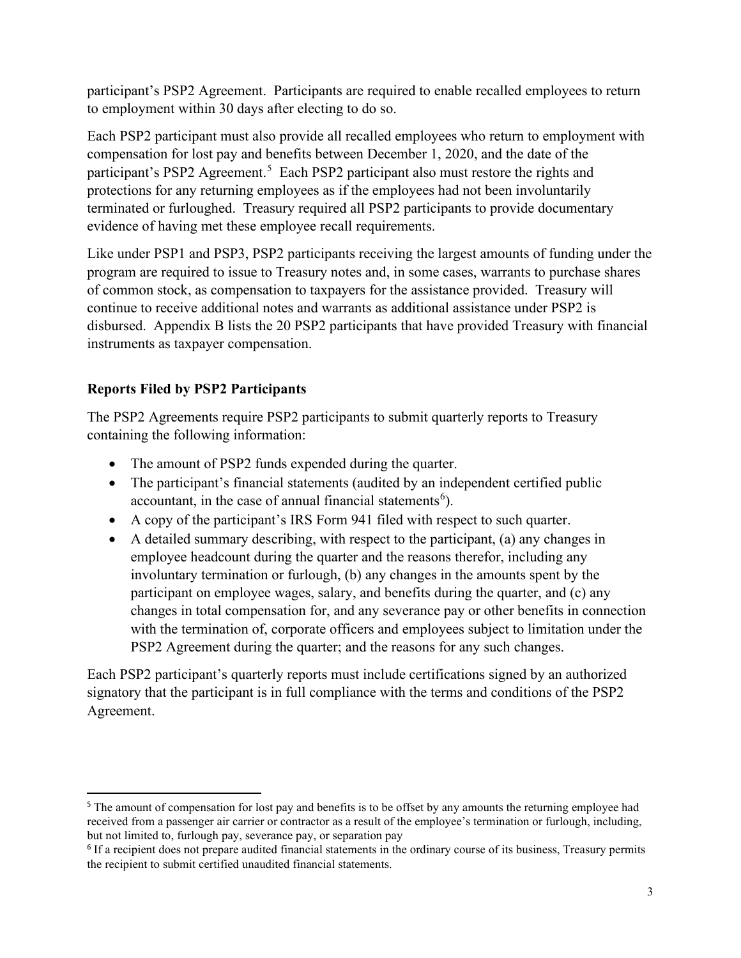participant's PSP2 Agreement. Participants are required to enable recalled employees to return to employment within 30 days after electing to do so.

Each PSP2 participant must also provide all recalled employees who return to employment with compensation for lost pay and benefits between December 1, 2020, and the date of the participant's PSP2 Agreement.<sup>[5](#page-2-0)</sup> Each PSP2 participant also must restore the rights and protections for any returning employees as if the employees had not been involuntarily terminated or furloughed. Treasury required all PSP2 participants to provide documentary evidence of having met these employee recall requirements.

Like under PSP1 and PSP3, PSP2 participants receiving the largest amounts of funding under the program are required to issue to Treasury notes and, in some cases, warrants to purchase shares of common stock, as compensation to taxpayers for the assistance provided. Treasury will continue to receive additional notes and warrants as additional assistance under PSP2 is disbursed. Appendix B lists the 20 PSP2 participants that have provided Treasury with financial instruments as taxpayer compensation.

#### **Reports Filed by PSP2 Participants**

The PSP2 Agreements require PSP2 participants to submit quarterly reports to Treasury containing the following information:

- The amount of PSP2 funds expended during the quarter.
- The participant's financial statements (audited by an independent certified public accountant, in the case of annual financial statements<sup>[6](#page-2-1)</sup>).
- A copy of the participant's IRS Form 941 filed with respect to such quarter.
- A detailed summary describing, with respect to the participant, (a) any changes in employee headcount during the quarter and the reasons therefor, including any involuntary termination or furlough, (b) any changes in the amounts spent by the participant on employee wages, salary, and benefits during the quarter, and (c) any changes in total compensation for, and any severance pay or other benefits in connection with the termination of, corporate officers and employees subject to limitation under the PSP2 Agreement during the quarter; and the reasons for any such changes.

Each PSP2 participant's quarterly reports must include certifications signed by an authorized signatory that the participant is in full compliance with the terms and conditions of the PSP2 Agreement.

<span id="page-2-0"></span><sup>&</sup>lt;sup>5</sup> The amount of compensation for lost pay and benefits is to be offset by any amounts the returning employee had received from a passenger air carrier or contractor as a result of the employee's termination or furlough, including, but not limited to, furlough pay, severance pay, or separation pay

<span id="page-2-1"></span><sup>&</sup>lt;sup>6</sup> If a recipient does not prepare audited financial statements in the ordinary course of its business, Treasury permits the recipient to submit certified unaudited financial statements.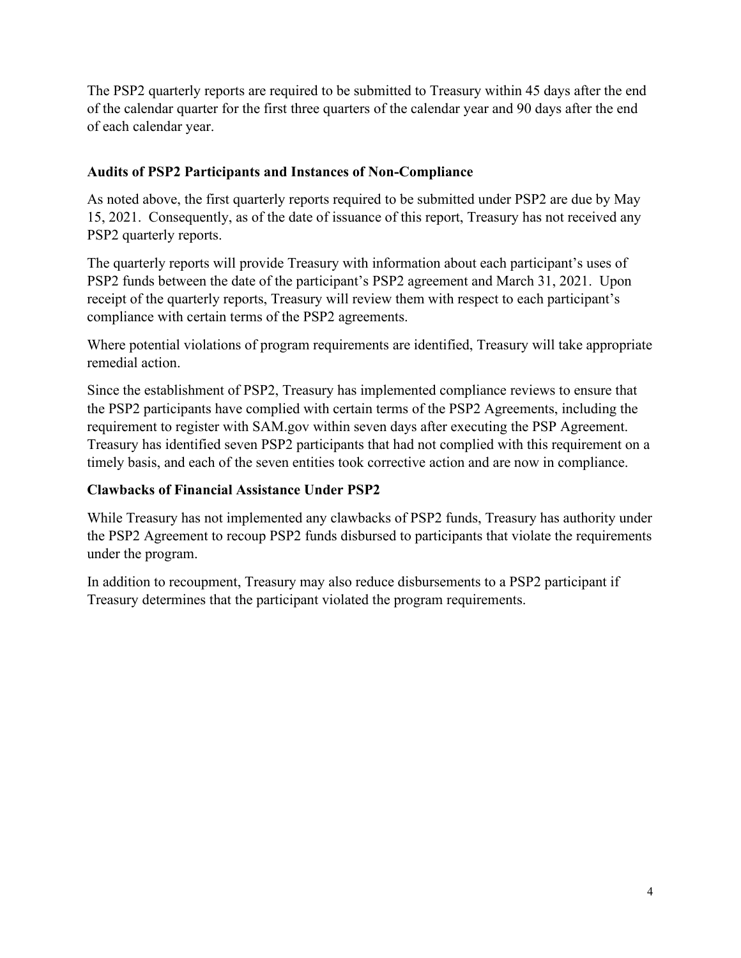The PSP2 quarterly reports are required to be submitted to Treasury within 45 days after the end of the calendar quarter for the first three quarters of the calendar year and 90 days after the end of each calendar year.

### **Audits of PSP2 Participants and Instances of Non-Compliance**

As noted above, the first quarterly reports required to be submitted under PSP2 are due by May 15, 2021. Consequently, as of the date of issuance of this report, Treasury has not received any PSP2 quarterly reports.

The quarterly reports will provide Treasury with information about each participant's uses of PSP2 funds between the date of the participant's PSP2 agreement and March 31, 2021. Upon receipt of the quarterly reports, Treasury will review them with respect to each participant's compliance with certain terms of the PSP2 agreements.

Where potential violations of program requirements are identified, Treasury will take appropriate remedial action.

Since the establishment of PSP2, Treasury has implemented compliance reviews to ensure that the PSP2 participants have complied with certain terms of the PSP2 Agreements, including the requirement to register with SAM.gov within seven days after executing the PSP Agreement. Treasury has identified seven PSP2 participants that had not complied with this requirement on a timely basis, and each of the seven entities took corrective action and are now in compliance.

#### **Clawbacks of Financial Assistance Under PSP2**

While Treasury has not implemented any clawbacks of PSP2 funds, Treasury has authority under the PSP2 Agreement to recoup PSP2 funds disbursed to participants that violate the requirements under the program.

In addition to recoupment, Treasury may also reduce disbursements to a PSP2 participant if Treasury determines that the participant violated the program requirements.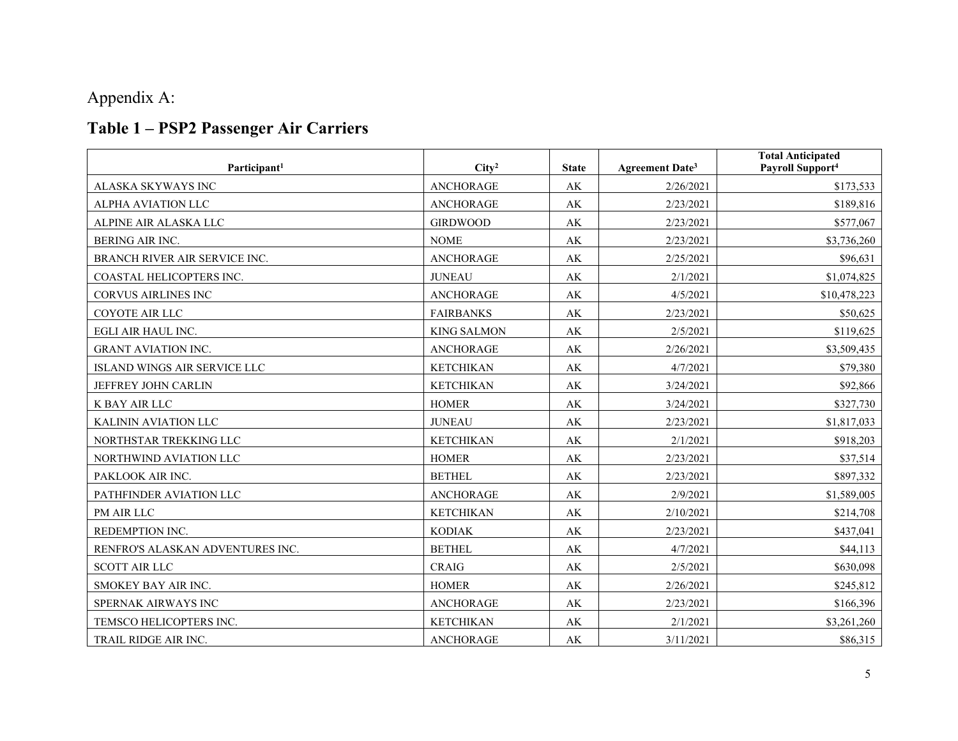# Appendix A:

# **Table 1 – PSP2 Passenger Air Carriers**

| Participant <sup>1</sup>         | City <sup>2</sup>  | <b>State</b>           | <b>Agreement Date<sup>3</sup></b> | <b>Total Anticipated</b><br>Payroll Support <sup>4</sup> |
|----------------------------------|--------------------|------------------------|-----------------------------------|----------------------------------------------------------|
| ALASKA SKYWAYS INC               | <b>ANCHORAGE</b>   | AK                     | 2/26/2021                         | \$173,533                                                |
| ALPHA AVIATION LLC               | <b>ANCHORAGE</b>   | AK                     | 2/23/2021                         | \$189,816                                                |
| ALPINE AIR ALASKA LLC            | <b>GIRDWOOD</b>    | $\mathbf{A}\mathbf{K}$ | 2/23/2021                         | \$577,067                                                |
| BERING AIR INC.                  | <b>NOME</b>        | AK                     | 2/23/2021                         | \$3,736,260                                              |
| BRANCH RIVER AIR SERVICE INC.    | <b>ANCHORAGE</b>   | AK                     | 2/25/2021                         | \$96,631                                                 |
| COASTAL HELICOPTERS INC.         | <b>JUNEAU</b>      | AK                     | 2/1/2021                          | \$1,074,825                                              |
| <b>CORVUS AIRLINES INC</b>       | <b>ANCHORAGE</b>   | AK                     | 4/5/2021                          | \$10,478,223                                             |
| COYOTE AIR LLC                   | <b>FAIRBANKS</b>   | AK                     | 2/23/2021                         | \$50,625                                                 |
| EGLI AIR HAUL INC.               | <b>KING SALMON</b> | $\mathbf{A}\mathbf{K}$ | 2/5/2021                          | \$119,625                                                |
| <b>GRANT AVIATION INC.</b>       | <b>ANCHORAGE</b>   | AK                     | 2/26/2021                         | \$3,509,435                                              |
| ISLAND WINGS AIR SERVICE LLC     | <b>KETCHIKAN</b>   | AK                     | 4/7/2021                          | \$79,380                                                 |
| JEFFREY JOHN CARLIN              | <b>KETCHIKAN</b>   | $\mathbf{A}\mathbf{K}$ | 3/24/2021                         | \$92,866                                                 |
| K BAY AIR LLC                    | <b>HOMER</b>       | AK                     | 3/24/2021                         | \$327,730                                                |
| KALININ AVIATION LLC             | <b>JUNEAU</b>      | AK                     | 2/23/2021                         | \$1,817,033                                              |
| NORTHSTAR TREKKING LLC           | <b>KETCHIKAN</b>   | $\mathbf{A}\mathbf{K}$ | 2/1/2021                          | \$918,203                                                |
| NORTHWIND AVIATION LLC           | <b>HOMER</b>       | $\mathbf{A}\mathbf{K}$ | 2/23/2021                         | \$37,514                                                 |
| PAKLOOK AIR INC.                 | <b>BETHEL</b>      | $\mathbf{A}\mathbf{K}$ | 2/23/2021                         | \$897,332                                                |
| PATHFINDER AVIATION LLC          | <b>ANCHORAGE</b>   | AK                     | 2/9/2021                          | \$1,589,005                                              |
| PM AIR LLC                       | <b>KETCHIKAN</b>   | $\mathbf{A}\mathbf{K}$ | 2/10/2021                         | \$214,708                                                |
| REDEMPTION INC.                  | <b>KODIAK</b>      | AK                     | 2/23/2021                         | \$437,041                                                |
| RENFRO'S ALASKAN ADVENTURES INC. | <b>BETHEL</b>      | AK                     | 4/7/2021                          | \$44,113                                                 |
| <b>SCOTT AIR LLC</b>             | <b>CRAIG</b>       | AK                     | 2/5/2021                          | \$630,098                                                |
| SMOKEY BAY AIR INC.              | <b>HOMER</b>       | AK                     | 2/26/2021                         | \$245,812                                                |
| SPERNAK AIRWAYS INC              | <b>ANCHORAGE</b>   | AK                     | 2/23/2021                         | \$166,396                                                |
| TEMSCO HELICOPTERS INC.          | <b>KETCHIKAN</b>   | AK                     | 2/1/2021                          | \$3,261,260                                              |
| <b>TRAIL RIDGE AIR INC.</b>      | <b>ANCHORAGE</b>   | AK                     | 3/11/2021                         | \$86,315                                                 |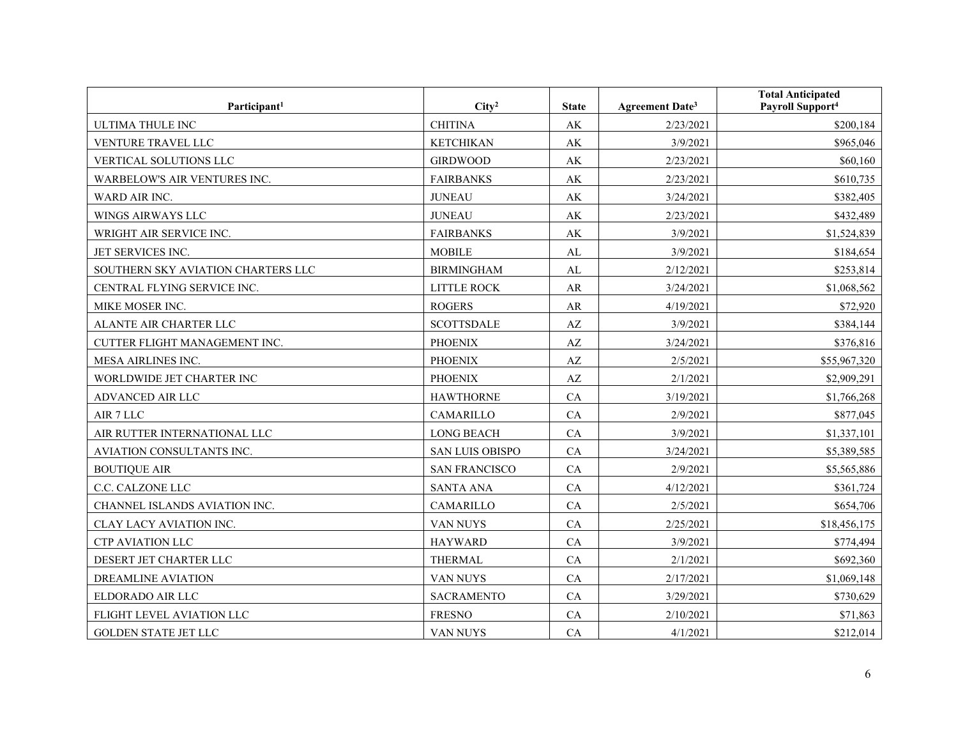| Participant <sup>1</sup>           | City <sup>2</sup>      | <b>State</b>           | <b>Agreement Date<sup>3</sup></b> | <b>Total Anticipated</b><br>Payroll Support <sup>4</sup> |
|------------------------------------|------------------------|------------------------|-----------------------------------|----------------------------------------------------------|
| <b>ULTIMA THULE INC</b>            | <b>CHITINA</b>         | AK                     | 2/23/2021                         | \$200,184                                                |
| VENTURE TRAVEL LLC                 | <b>KETCHIKAN</b>       | $\mathbf{A}\mathbf{K}$ | 3/9/2021                          | \$965,046                                                |
| VERTICAL SOLUTIONS LLC             | <b>GIRDWOOD</b>        | AK                     | 2/23/2021                         | \$60,160                                                 |
| WARBELOW'S AIR VENTURES INC.       | <b>FAIRBANKS</b>       | AK                     | 2/23/2021                         | \$610,735                                                |
| WARD AIR INC.                      | <b>JUNEAU</b>          | AK                     | 3/24/2021                         | \$382,405                                                |
| WINGS AIRWAYS LLC                  | <b>JUNEAU</b>          | $\mathbf{A}\mathbf{K}$ | 2/23/2021                         | \$432,489                                                |
| WRIGHT AIR SERVICE INC.            | <b>FAIRBANKS</b>       | $\mathbf{A}\mathbf{K}$ | 3/9/2021                          | \$1,524,839                                              |
| JET SERVICES INC.                  | <b>MOBILE</b>          | AL                     | 3/9/2021                          | \$184,654                                                |
| SOUTHERN SKY AVIATION CHARTERS LLC | <b>BIRMINGHAM</b>      | AL                     | 2/12/2021                         | \$253,814                                                |
| CENTRAL FLYING SERVICE INC.        | LITTLE ROCK            | AR                     | 3/24/2021                         | \$1,068,562                                              |
| MIKE MOSER INC.                    | <b>ROGERS</b>          | AR                     | 4/19/2021                         | \$72,920                                                 |
| ALANTE AIR CHARTER LLC             | <b>SCOTTSDALE</b>      | AZ                     | 3/9/2021                          | \$384,144                                                |
| CUTTER FLIGHT MANAGEMENT INC.      | <b>PHOENIX</b>         | AZ                     | 3/24/2021                         | \$376,816                                                |
| MESA AIRLINES INC.                 | <b>PHOENIX</b>         | $\mathbf{A}\mathbf{Z}$ | 2/5/2021                          | \$55,967,320                                             |
| WORLDWIDE JET CHARTER INC          | <b>PHOENIX</b>         | AZ                     | 2/1/2021                          | \$2,909,291                                              |
| ADVANCED AIR LLC                   | <b>HAWTHORNE</b>       | CA                     | 3/19/2021                         | \$1,766,268                                              |
| AIR 7 LLC                          | CAMARILLO              | CA                     | 2/9/2021                          | \$877,045                                                |
| AIR RUTTER INTERNATIONAL LLC       | <b>LONG BEACH</b>      | CA                     | 3/9/2021                          | \$1,337,101                                              |
| AVIATION CONSULTANTS INC.          | <b>SAN LUIS OBISPO</b> | CA                     | 3/24/2021                         | \$5,389,585                                              |
| <b>BOUTIQUE AIR</b>                | <b>SAN FRANCISCO</b>   | CA                     | 2/9/2021                          | \$5,565,886                                              |
| C.C. CALZONE LLC                   | <b>SANTA ANA</b>       | CA                     | 4/12/2021                         | \$361,724                                                |
| CHANNEL ISLANDS AVIATION INC.      | CAMARILLO              | CA                     | 2/5/2021                          | \$654,706                                                |
| CLAY LACY AVIATION INC.            | VAN NUYS               | CA                     | 2/25/2021                         | \$18,456,175                                             |
| <b>CTP AVIATION LLC</b>            | <b>HAYWARD</b>         | CA                     | 3/9/2021                          | \$774,494                                                |
| DESERT JET CHARTER LLC             | <b>THERMAL</b>         | CA                     | 2/1/2021                          | \$692,360                                                |
| <b>DREAMLINE AVIATION</b>          | VAN NUYS               | CA                     | 2/17/2021                         | \$1,069,148                                              |
| ELDORADO AIR LLC                   | <b>SACRAMENTO</b>      | CA                     | 3/29/2021                         | \$730,629                                                |
| FLIGHT LEVEL AVIATION LLC          | <b>FRESNO</b>          | CA                     | 2/10/2021                         | \$71,863                                                 |
| <b>GOLDEN STATE JET LLC</b>        | VAN NUYS               | CA                     | 4/1/2021                          | \$212,014                                                |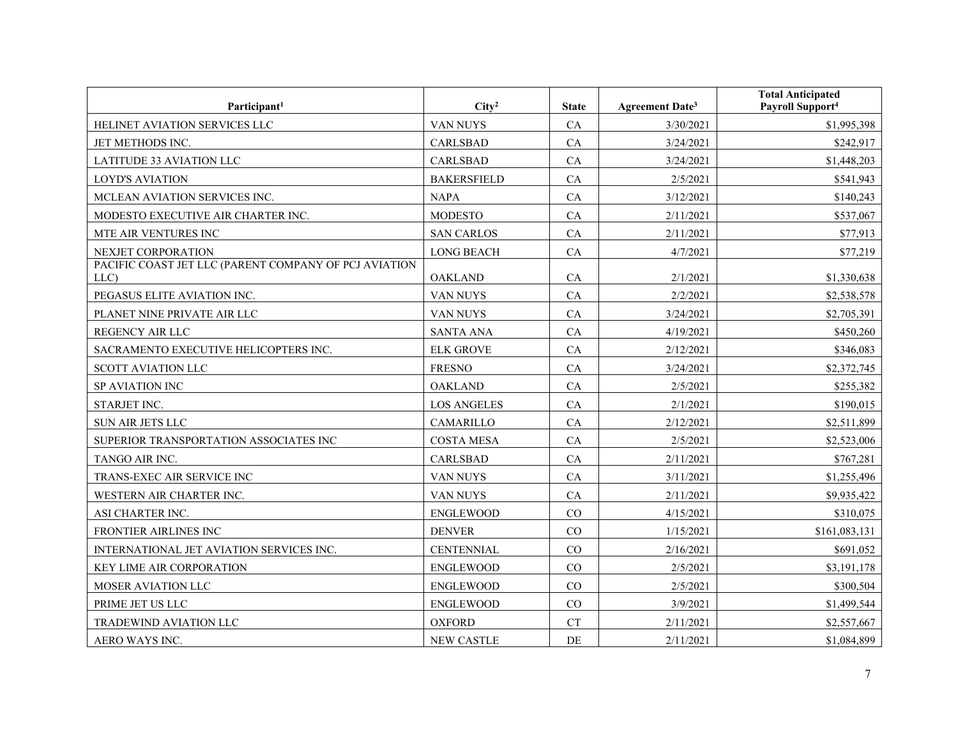| Participant <sup>1</sup>                                      | City <sup>2</sup>  | <b>State</b> | Agreement Date <sup>3</sup> | <b>Total Anticipated</b><br>Payroll Support <sup>4</sup> |
|---------------------------------------------------------------|--------------------|--------------|-----------------------------|----------------------------------------------------------|
| HELINET AVIATION SERVICES LLC                                 | VAN NUYS           | CA           | 3/30/2021                   | \$1,995,398                                              |
| JET METHODS INC.                                              | <b>CARLSBAD</b>    | CA           | 3/24/2021                   | \$242,917                                                |
| LATITUDE 33 AVIATION LLC                                      | <b>CARLSBAD</b>    | CA           | 3/24/2021                   | \$1,448,203                                              |
| <b>LOYD'S AVIATION</b>                                        | <b>BAKERSFIELD</b> | CA           | 2/5/2021                    | \$541,943                                                |
| MCLEAN AVIATION SERVICES INC.                                 | <b>NAPA</b>        | CA           | 3/12/2021                   | \$140,243                                                |
| MODESTO EXECUTIVE AIR CHARTER INC.                            | <b>MODESTO</b>     | CA           | 2/11/2021                   | \$537,067                                                |
| MTE AIR VENTURES INC                                          | <b>SAN CARLOS</b>  | CA           | 2/11/2021                   | \$77,913                                                 |
| NEXJET CORPORATION                                            | <b>LONG BEACH</b>  | CA           | 4/7/2021                    | \$77,219                                                 |
| PACIFIC COAST JET LLC (PARENT COMPANY OF PCJ AVIATION<br>LLC) | <b>OAKLAND</b>     | CA           | 2/1/2021                    | \$1,330,638                                              |
| PEGASUS ELITE AVIATION INC.                                   | VAN NUYS           | CA           | 2/2/2021                    | \$2,538,578                                              |
| PLANET NINE PRIVATE AIR LLC                                   | VAN NUYS           | CA           | 3/24/2021                   | \$2,705,391                                              |
| REGENCY AIR LLC                                               | <b>SANTA ANA</b>   | CA           | 4/19/2021                   | \$450,260                                                |
| SACRAMENTO EXECUTIVE HELICOPTERS INC.                         | <b>ELK GROVE</b>   | CA           | 2/12/2021                   | \$346,083                                                |
| <b>SCOTT AVIATION LLC</b>                                     | <b>FRESNO</b>      | CA           | 3/24/2021                   | \$2,372,745                                              |
| SP AVIATION INC                                               | <b>OAKLAND</b>     | CA           | 2/5/2021                    | \$255,382                                                |
| STARJET INC.                                                  | <b>LOS ANGELES</b> | CA           | 2/1/2021                    | \$190,015                                                |
| <b>SUN AIR JETS LLC</b>                                       | <b>CAMARILLO</b>   | CA           | 2/12/2021                   | \$2,511,899                                              |
| SUPERIOR TRANSPORTATION ASSOCIATES INC                        | <b>COSTA MESA</b>  | CA           | 2/5/2021                    | \$2,523,006                                              |
| TANGO AIR INC.                                                | <b>CARLSBAD</b>    | CA           | 2/11/2021                   | \$767,281                                                |
| TRANS-EXEC AIR SERVICE INC                                    | VAN NUYS           | CA           | 3/11/2021                   | \$1,255,496                                              |
| WESTERN AIR CHARTER INC.                                      | VAN NUYS           | CA           | 2/11/2021                   | \$9,935,422                                              |
| ASI CHARTER INC.                                              | <b>ENGLEWOOD</b>   | CO           | 4/15/2021                   | \$310,075                                                |
| FRONTIER AIRLINES INC                                         | <b>DENVER</b>      | CO           | 1/15/2021                   | \$161,083,131                                            |
| INTERNATIONAL JET AVIATION SERVICES INC.                      | <b>CENTENNIAL</b>  | CO           | 2/16/2021                   | \$691,052                                                |
| KEY LIME AIR CORPORATION                                      | <b>ENGLEWOOD</b>   | CO           | 2/5/2021                    | \$3,191,178                                              |
| MOSER AVIATION LLC                                            | <b>ENGLEWOOD</b>   | CO           | 2/5/2021                    | \$300,504                                                |
| PRIME JET US LLC                                              | <b>ENGLEWOOD</b>   | CO           | 3/9/2021                    | \$1,499,544                                              |
| TRADEWIND AVIATION LLC                                        | <b>OXFORD</b>      | CT           | 2/11/2021                   | \$2,557,667                                              |
| AERO WAYS INC.                                                | <b>NEW CASTLE</b>  | DE           | 2/11/2021                   | \$1,084,899                                              |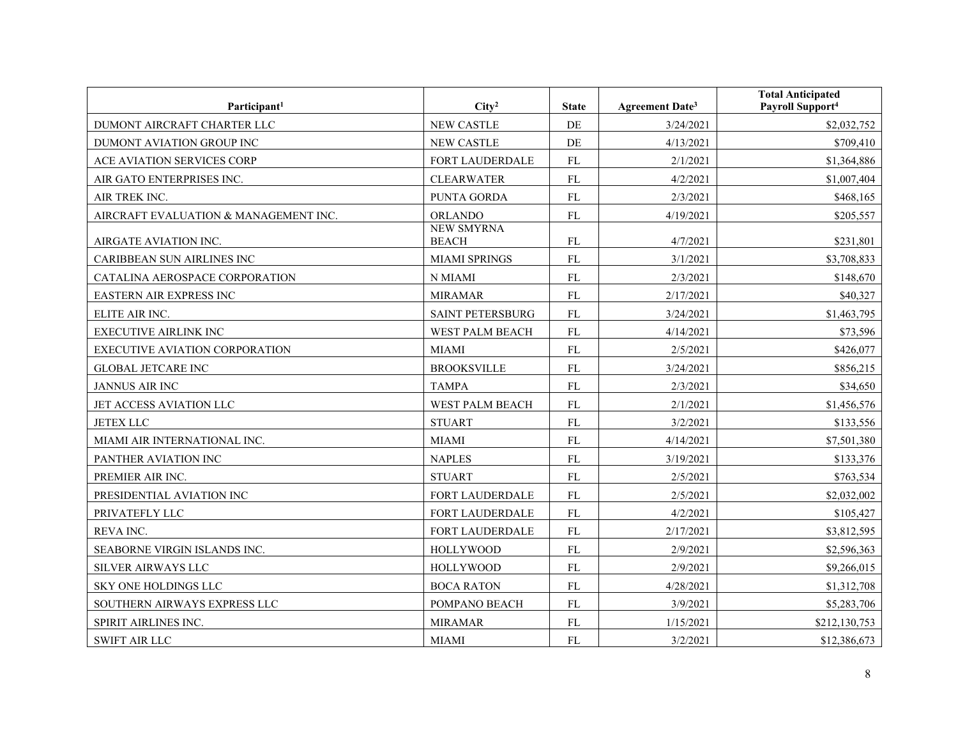| Participant <sup>1</sup>              | City <sup>2</sup>                 | <b>State</b> | <b>Agreement Date3</b> | <b>Total Anticipated</b><br>Payroll Support <sup>4</sup> |
|---------------------------------------|-----------------------------------|--------------|------------------------|----------------------------------------------------------|
| DUMONT AIRCRAFT CHARTER LLC           | <b>NEW CASTLE</b>                 | DE           | 3/24/2021              | \$2,032,752                                              |
| DUMONT AVIATION GROUP INC             | <b>NEW CASTLE</b>                 | DE           | 4/13/2021              | \$709,410                                                |
| ACE AVIATION SERVICES CORP            | FORT LAUDERDALE                   | ${\rm FL}$   | 2/1/2021               | \$1,364,886                                              |
| AIR GATO ENTERPRISES INC.             | <b>CLEARWATER</b>                 | ${\rm FL}$   | 4/2/2021               | \$1,007,404                                              |
| AIR TREK INC.                         | PUNTA GORDA                       | FL           | 2/3/2021               | \$468,165                                                |
| AIRCRAFT EVALUATION & MANAGEMENT INC. | <b>ORLANDO</b>                    | ${\rm FL}$   | 4/19/2021              | \$205,557                                                |
| AIRGATE AVIATION INC.                 | <b>NEW SMYRNA</b><br><b>BEACH</b> | ${\rm FL}$   | 4/7/2021               | \$231,801                                                |
| CARIBBEAN SUN AIRLINES INC            | <b>MIAMI SPRINGS</b>              | ${\rm FL}$   | 3/1/2021               | \$3,708,833                                              |
| CATALINA AEROSPACE CORPORATION        | N MIAMI                           | FL           | 2/3/2021               | \$148,670                                                |
| EASTERN AIR EXPRESS INC               | <b>MIRAMAR</b>                    | <b>FL</b>    | 2/17/2021              | \$40,327                                                 |
| ELITE AIR INC.                        | <b>SAINT PETERSBURG</b>           | ${\rm FL}$   | 3/24/2021              | \$1,463,795                                              |
| <b>EXECUTIVE AIRLINK INC</b>          | WEST PALM BEACH                   | <b>FL</b>    | 4/14/2021              | \$73,596                                                 |
| EXECUTIVE AVIATION CORPORATION        | <b>MIAMI</b>                      | ${\rm FL}$   | 2/5/2021               | \$426,077                                                |
| <b>GLOBAL JETCARE INC</b>             | <b>BROOKSVILLE</b>                | ${\rm FL}$   | 3/24/2021              | \$856,215                                                |
| JANNUS AIR INC                        | <b>TAMPA</b>                      | <b>FL</b>    | 2/3/2021               | \$34,650                                                 |
| JET ACCESS AVIATION LLC               | WEST PALM BEACH                   | <b>FL</b>    | 2/1/2021               | \$1,456,576                                              |
| <b>JETEX LLC</b>                      | <b>STUART</b>                     | ${\rm FL}$   | 3/2/2021               | \$133,556                                                |
| MIAMI AIR INTERNATIONAL INC.          | <b>MIAMI</b>                      | <b>FL</b>    | 4/14/2021              | \$7,501,380                                              |
| PANTHER AVIATION INC                  | <b>NAPLES</b>                     | ${\rm FL}$   | 3/19/2021              | \$133,376                                                |
| PREMIER AIR INC.                      | <b>STUART</b>                     | FL           | 2/5/2021               | \$763,534                                                |
| PRESIDENTIAL AVIATION INC             | <b>FORT LAUDERDALE</b>            | FL           | 2/5/2021               | \$2,032,002                                              |
| PRIVATEFLY LLC                        | FORT LAUDERDALE                   | <b>FL</b>    | 4/2/2021               | \$105,427                                                |
| REVA INC.                             | FORT LAUDERDALE                   | ${\rm FL}$   | 2/17/2021              | \$3,812,595                                              |
| SEABORNE VIRGIN ISLANDS INC.          | <b>HOLLYWOOD</b>                  | ${\rm FL}$   | 2/9/2021               | \$2,596,363                                              |
| SILVER AIRWAYS LLC                    | <b>HOLLYWOOD</b>                  | FL           | 2/9/2021               | \$9,266,015                                              |
| SKY ONE HOLDINGS LLC                  | <b>BOCA RATON</b>                 | FL           | 4/28/2021              | \$1,312,708                                              |
| SOUTHERN AIRWAYS EXPRESS LLC          | POMPANO BEACH                     | ${\rm FL}$   | 3/9/2021               | \$5,283,706                                              |
| SPIRIT AIRLINES INC.                  | <b>MIRAMAR</b>                    | ${\rm FL}$   | 1/15/2021              | \$212,130,753                                            |
| <b>SWIFT AIR LLC</b>                  | <b>MIAMI</b>                      | <b>FL</b>    | 3/2/2021               | \$12,386,673                                             |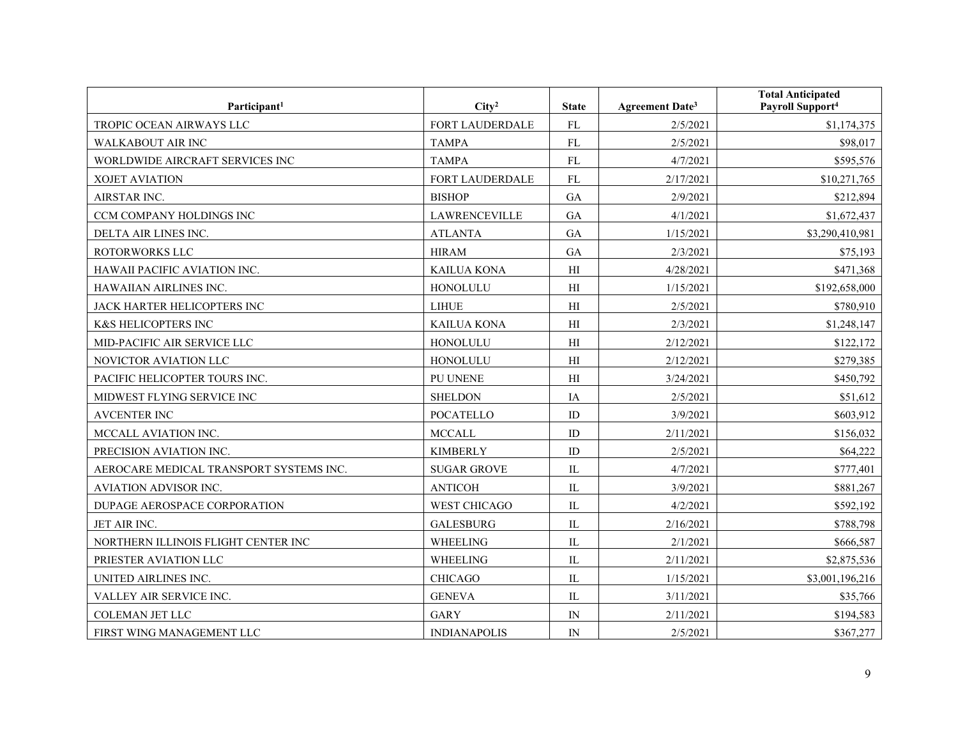| Participant <sup>1</sup>                | City <sup>2</sup>    | <b>State</b>   | Agreement Date <sup>3</sup> | <b>Total Anticipated</b><br>Payroll Support <sup>4</sup> |
|-----------------------------------------|----------------------|----------------|-----------------------------|----------------------------------------------------------|
| TROPIC OCEAN AIRWAYS LLC                | FORT LAUDERDALE      | FL             | 2/5/2021                    | \$1,174,375                                              |
| WALKABOUT AIR INC                       | <b>TAMPA</b>         | FL             | 2/5/2021                    | \$98,017                                                 |
| WORLDWIDE AIRCRAFT SERVICES INC         | <b>TAMPA</b>         | <b>FL</b>      | 4/7/2021                    | \$595,576                                                |
| <b>XOJET AVIATION</b>                   | FORT LAUDERDALE      | FL             | 2/17/2021                   | \$10,271,765                                             |
| AIRSTAR INC.                            | <b>BISHOP</b>        | <b>GA</b>      | 2/9/2021                    | \$212,894                                                |
| CCM COMPANY HOLDINGS INC                | <b>LAWRENCEVILLE</b> | GA             | 4/1/2021                    | \$1,672,437                                              |
| DELTA AIR LINES INC.                    | <b>ATLANTA</b>       | GA             | 1/15/2021                   | \$3,290,410,981                                          |
| ROTORWORKS LLC                          | <b>HIRAM</b>         | GA             | 2/3/2021                    | \$75,193                                                 |
| HAWAII PACIFIC AVIATION INC.            | <b>KAILUA KONA</b>   | H <sub>I</sub> | 4/28/2021                   | \$471,368                                                |
| <b>HAWAIIAN AIRLINES INC.</b>           | HONOLULU             | H <sub>I</sub> | 1/15/2021                   | \$192,658,000                                            |
| JACK HARTER HELICOPTERS INC             | <b>LIHUE</b>         | H <sub>I</sub> | 2/5/2021                    | \$780,910                                                |
| K&S HELICOPTERS INC                     | <b>KAILUA KONA</b>   | H              | 2/3/2021                    | \$1,248,147                                              |
| MID-PACIFIC AIR SERVICE LLC             | HONOLULU             | H <sub>I</sub> | 2/12/2021                   | \$122,172                                                |
| NOVICTOR AVIATION LLC                   | HONOLULU             | H <sub>I</sub> | 2/12/2021                   | \$279,385                                                |
| PACIFIC HELICOPTER TOURS INC.           | PU UNENE             | H <sub>I</sub> | 3/24/2021                   | \$450,792                                                |
| MIDWEST FLYING SERVICE INC              | <b>SHELDON</b>       | IA             | 2/5/2021                    | \$51,612                                                 |
| <b>AVCENTER INC</b>                     | <b>POCATELLO</b>     | ID             | 3/9/2021                    | \$603,912                                                |
| MCCALL AVIATION INC.                    | <b>MCCALL</b>        | ID             | 2/11/2021                   | \$156,032                                                |
| PRECISION AVIATION INC.                 | <b>KIMBERLY</b>      | ID             | 2/5/2021                    | \$64,222                                                 |
| AEROCARE MEDICAL TRANSPORT SYSTEMS INC. | <b>SUGAR GROVE</b>   | IL             | 4/7/2021                    | \$777,401                                                |
| <b>AVIATION ADVISOR INC.</b>            | <b>ANTICOH</b>       | IL             | 3/9/2021                    | \$881,267                                                |
| DUPAGE AEROSPACE CORPORATION            | <b>WEST CHICAGO</b>  | IL             | 4/2/2021                    | \$592,192                                                |
| JET AIR INC.                            | <b>GALESBURG</b>     | IL             | 2/16/2021                   | \$788,798                                                |
| NORTHERN ILLINOIS FLIGHT CENTER INC     | WHEELING             | IL             | 2/1/2021                    | \$666,587                                                |
| PRIESTER AVIATION LLC                   | <b>WHEELING</b>      | IL             | 2/11/2021                   | \$2,875,536                                              |
| UNITED AIRLINES INC.                    | <b>CHICAGO</b>       | IL             | 1/15/2021                   | \$3,001,196,216                                          |
| VALLEY AIR SERVICE INC.                 | <b>GENEVA</b>        | $\rm IL$       | 3/11/2021                   | \$35,766                                                 |
| <b>COLEMAN JET LLC</b>                  | <b>GARY</b>          | IN             | 2/11/2021                   | \$194,583                                                |
| FIRST WING MANAGEMENT LLC               | <b>INDIANAPOLIS</b>  | IN             | 2/5/2021                    | \$367,277                                                |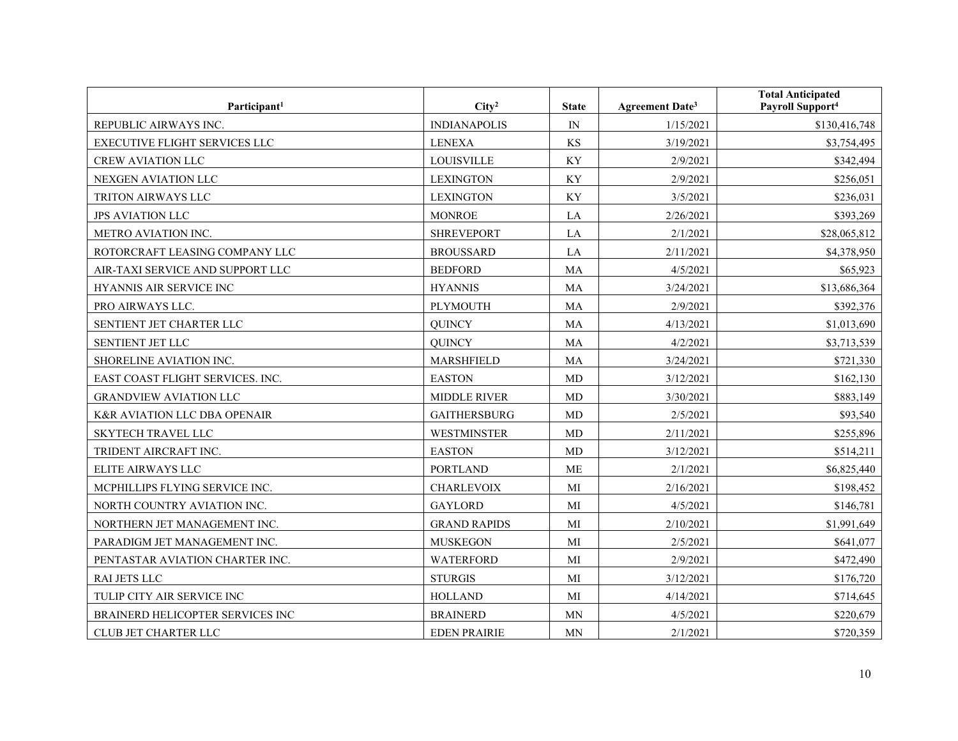| Participant <sup>1</sup>                | City <sup>2</sup>   | <b>State</b>             | <b>Agreement Date<sup>3</sup></b> | <b>Total Anticipated</b><br>Payroll Support <sup>4</sup> |
|-----------------------------------------|---------------------|--------------------------|-----------------------------------|----------------------------------------------------------|
| REPUBLIC AIRWAYS INC.                   | <b>INDIANAPOLIS</b> | $\ensuremath{\text{IN}}$ | 1/15/2021                         | \$130,416,748                                            |
| <b>EXECUTIVE FLIGHT SERVICES LLC</b>    | <b>LENEXA</b>       | <b>KS</b>                | 3/19/2021                         | \$3,754,495                                              |
| <b>CREW AVIATION LLC</b>                | <b>LOUISVILLE</b>   | KY                       | 2/9/2021                          | \$342,494                                                |
| NEXGEN AVIATION LLC                     | <b>LEXINGTON</b>    | KY                       | 2/9/2021                          | \$256,051                                                |
| TRITON AIRWAYS LLC                      | <b>LEXINGTON</b>    | KY                       | 3/5/2021                          | \$236,031                                                |
| <b>JPS AVIATION LLC</b>                 | <b>MONROE</b>       | LA                       | 2/26/2021                         | \$393,269                                                |
| METRO AVIATION INC.                     | <b>SHREVEPORT</b>   | LA                       | 2/1/2021                          | \$28,065,812                                             |
| ROTORCRAFT LEASING COMPANY LLC          | <b>BROUSSARD</b>    | LA                       | 2/11/2021                         | \$4,378,950                                              |
| AIR-TAXI SERVICE AND SUPPORT LLC        | <b>BEDFORD</b>      | MA                       | 4/5/2021                          | \$65,923                                                 |
| HYANNIS AIR SERVICE INC                 | <b>HYANNIS</b>      | <b>MA</b>                | 3/24/2021                         | \$13,686,364                                             |
| PRO AIRWAYS LLC.                        | <b>PLYMOUTH</b>     | MA                       | 2/9/2021                          | \$392,376                                                |
| SENTIENT JET CHARTER LLC                | <b>OUINCY</b>       | <b>MA</b>                | 4/13/2021                         | \$1,013,690                                              |
| SENTIENT JET LLC                        | <b>OUINCY</b>       | MA                       | 4/2/2021                          | \$3,713,539                                              |
| SHORELINE AVIATION INC.                 | MARSHFIELD          | MA                       | 3/24/2021                         | \$721,330                                                |
| EAST COAST FLIGHT SERVICES. INC.        | <b>EASTON</b>       | MD                       | 3/12/2021                         | \$162,130                                                |
| <b>GRANDVIEW AVIATION LLC</b>           | <b>MIDDLE RIVER</b> | MD                       | 3/30/2021                         | \$883,149                                                |
| <b>K&amp;R AVIATION LLC DBA OPENAIR</b> | <b>GAITHERSBURG</b> | MD                       | 2/5/2021                          | \$93,540                                                 |
| <b>SKYTECH TRAVEL LLC</b>               | <b>WESTMINSTER</b>  | MD                       | 2/11/2021                         | \$255,896                                                |
| TRIDENT AIRCRAFT INC.                   | <b>EASTON</b>       | MD                       | 3/12/2021                         | \$514,211                                                |
| <b>ELITE AIRWAYS LLC</b>                | <b>PORTLAND</b>     | ME                       | 2/1/2021                          | \$6,825,440                                              |
| MCPHILLIPS FLYING SERVICE INC.          | <b>CHARLEVOIX</b>   | MI                       | 2/16/2021                         | \$198,452                                                |
| NORTH COUNTRY AVIATION INC.             | <b>GAYLORD</b>      | MI                       | 4/5/2021                          | \$146,781                                                |
| NORTHERN JET MANAGEMENT INC.            | <b>GRAND RAPIDS</b> | MI                       | 2/10/2021                         | \$1,991,649                                              |
| PARADIGM JET MANAGEMENT INC.            | <b>MUSKEGON</b>     | MI                       | 2/5/2021                          | \$641,077                                                |
| PENTASTAR AVIATION CHARTER INC.         | WATERFORD           | MI                       | 2/9/2021                          | \$472,490                                                |
| RAI JETS LLC                            | <b>STURGIS</b>      | MI                       | 3/12/2021                         | \$176,720                                                |
| TULIP CITY AIR SERVICE INC              | <b>HOLLAND</b>      | MI                       | 4/14/2021                         | \$714,645                                                |
| BRAINERD HELICOPTER SERVICES INC        | <b>BRAINERD</b>     | $\mbox{MN}$              | 4/5/2021                          | \$220,679                                                |
| CLUB JET CHARTER LLC                    | <b>EDEN PRAIRIE</b> | MN                       | 2/1/2021                          | \$720,359                                                |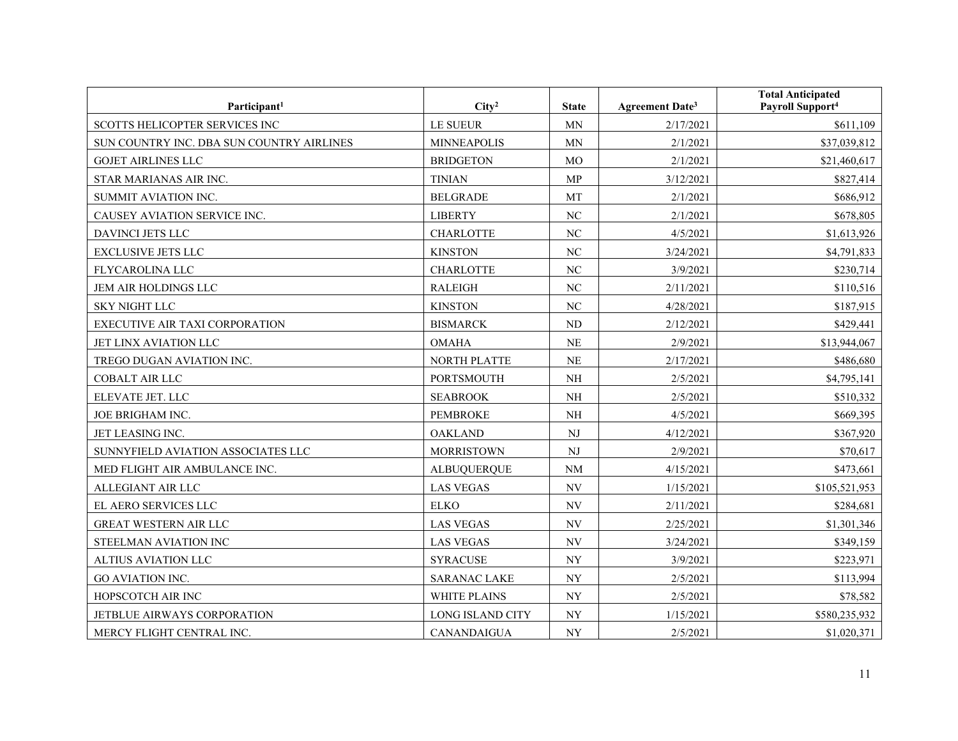| Participant <sup>1</sup>                  | City <sup>2</sup>   | <b>State</b>             | <b>Agreement Date<sup>3</sup></b> | <b>Total Anticipated</b><br>Payroll Support <sup>4</sup> |
|-------------------------------------------|---------------------|--------------------------|-----------------------------------|----------------------------------------------------------|
| SCOTTS HELICOPTER SERVICES INC            | LE SUEUR            | <b>MN</b>                | 2/17/2021                         | \$611,109                                                |
| SUN COUNTRY INC. DBA SUN COUNTRY AIRLINES | <b>MINNEAPOLIS</b>  | MN                       | 2/1/2021                          | \$37,039,812                                             |
| <b>GOJET AIRLINES LLC</b>                 | <b>BRIDGETON</b>    | <b>MO</b>                | 2/1/2021                          | \$21,460,617                                             |
| STAR MARIANAS AIR INC.                    | <b>TINIAN</b>       | MP                       | 3/12/2021                         | \$827,414                                                |
| SUMMIT AVIATION INC.                      | <b>BELGRADE</b>     | <b>MT</b>                | 2/1/2021                          | \$686,912                                                |
| CAUSEY AVIATION SERVICE INC.              | <b>LIBERTY</b>      | $\rm NC$                 | 2/1/2021                          | \$678,805                                                |
| DAVINCI JETS LLC                          | <b>CHARLOTTE</b>    | NC                       | 4/5/2021                          | \$1,613,926                                              |
| <b>EXCLUSIVE JETS LLC</b>                 | <b>KINSTON</b>      | NC                       | 3/24/2021                         | \$4,791,833                                              |
| FLYCAROLINA LLC                           | <b>CHARLOTTE</b>    | NC                       | 3/9/2021                          | \$230,714                                                |
| JEM AIR HOLDINGS LLC                      | <b>RALEIGH</b>      | NC                       | 2/11/2021                         | \$110,516                                                |
| <b>SKY NIGHT LLC</b>                      | <b>KINSTON</b>      | N <sub>C</sub>           | 4/28/2021                         | \$187,915                                                |
| EXECUTIVE AIR TAXI CORPORATION            | <b>BISMARCK</b>     | ND                       | 2/12/2021                         | \$429,441                                                |
| JET LINX AVIATION LLC                     | <b>OMAHA</b>        | <b>NE</b>                | 2/9/2021                          | \$13,944,067                                             |
| TREGO DUGAN AVIATION INC.                 | <b>NORTH PLATTE</b> | <b>NE</b>                | 2/17/2021                         | \$486,680                                                |
| <b>COBALT AIR LLC</b>                     | <b>PORTSMOUTH</b>   | NH                       | 2/5/2021                          | \$4,795,141                                              |
| ELEVATE JET. LLC                          | <b>SEABROOK</b>     | NH                       | 2/5/2021                          | \$510,332                                                |
| JOE BRIGHAM INC.                          | <b>PEMBROKE</b>     | $\rm NH$                 | 4/5/2021                          | \$669,395                                                |
| JET LEASING INC.                          | <b>OAKLAND</b>      | NJ                       | 4/12/2021                         | \$367,920                                                |
| SUNNYFIELD AVIATION ASSOCIATES LLC        | <b>MORRISTOWN</b>   | NJ                       | 2/9/2021                          | \$70,617                                                 |
| MED FLIGHT AIR AMBULANCE INC.             | <b>ALBUQUERQUE</b>  | $\rm{NM}$                | 4/15/2021                         | \$473,661                                                |
| ALLEGIANT AIR LLC                         | <b>LAS VEGAS</b>    | NV                       | 1/15/2021                         | \$105,521,953                                            |
| EL AERO SERVICES LLC                      | <b>ELKO</b>         | $\ensuremath{\text{NV}}$ | 2/11/2021                         | \$284,681                                                |
| GREAT WESTERN AIR LLC                     | <b>LAS VEGAS</b>    | NV                       | 2/25/2021                         | \$1,301,346                                              |
| STEELMAN AVIATION INC                     | <b>LAS VEGAS</b>    | $\ensuremath{\text{NV}}$ | 3/24/2021                         | \$349,159                                                |
| ALTIUS AVIATION LLC                       | <b>SYRACUSE</b>     | <b>NY</b>                | 3/9/2021                          | \$223,971                                                |
| <b>GO AVIATION INC.</b>                   | <b>SARANAC LAKE</b> | $\ensuremath{\text{NY}}$ | 2/5/2021                          | \$113,994                                                |
| HOPSCOTCH AIR INC                         | <b>WHITE PLAINS</b> | $\ensuremath{\text{NY}}$ | 2/5/2021                          | \$78,582                                                 |
| JETBLUE AIRWAYS CORPORATION               | LONG ISLAND CITY    | NY                       | 1/15/2021                         | \$580,235,932                                            |
| MERCY FLIGHT CENTRAL INC.                 | <b>CANANDAIGUA</b>  | NY                       | 2/5/2021                          | \$1,020,371                                              |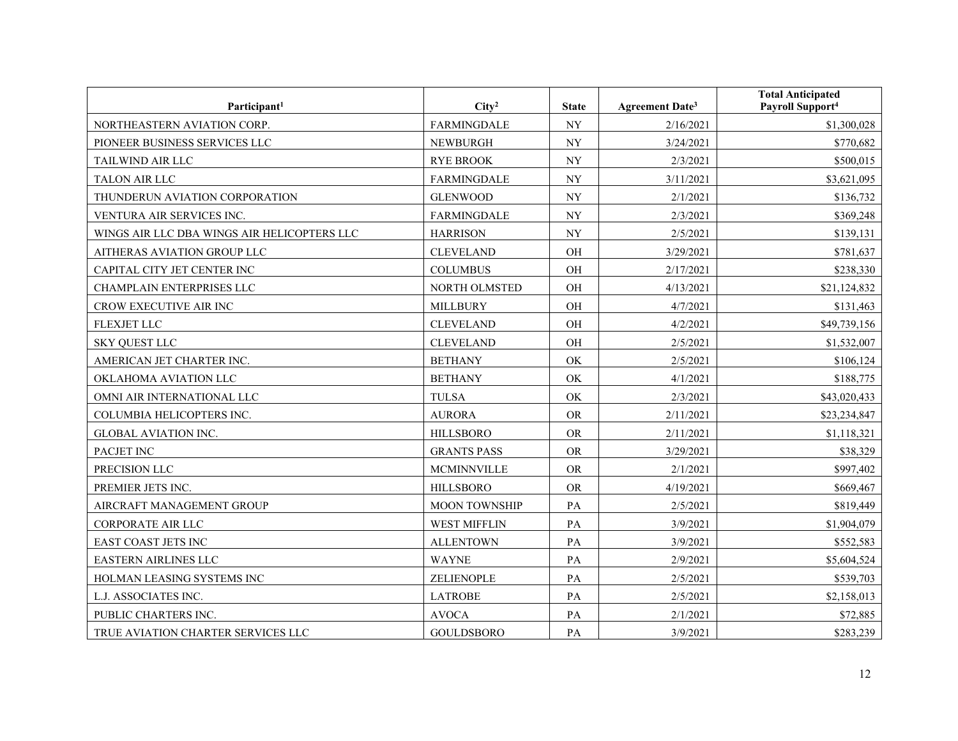| Participant <sup>1</sup>                    | City <sup>2</sup>    | <b>State</b>             | <b>Agreement Date<sup>3</sup></b> | <b>Total Anticipated</b><br>Payroll Support <sup>4</sup> |
|---------------------------------------------|----------------------|--------------------------|-----------------------------------|----------------------------------------------------------|
| NORTHEASTERN AVIATION CORP.                 | <b>FARMINGDALE</b>   | $\ensuremath{\text{NY}}$ | 2/16/2021                         | \$1,300,028                                              |
| PIONEER BUSINESS SERVICES LLC               | <b>NEWBURGH</b>      | <b>NY</b>                | 3/24/2021                         | \$770,682                                                |
| TAILWIND AIR LLC                            | <b>RYE BROOK</b>     | <b>NY</b>                | 2/3/2021                          | \$500,015                                                |
| <b>TALON AIR LLC</b>                        | <b>FARMINGDALE</b>   | <b>NY</b>                | 3/11/2021                         | \$3,621,095                                              |
| THUNDERUN AVIATION CORPORATION              | <b>GLENWOOD</b>      | <b>NY</b>                | 2/1/2021                          | \$136,732                                                |
| VENTURA AIR SERVICES INC.                   | <b>FARMINGDALE</b>   | <b>NY</b>                | 2/3/2021                          | \$369,248                                                |
| WINGS AIR LLC DBA WINGS AIR HELICOPTERS LLC | <b>HARRISON</b>      | <b>NY</b>                | 2/5/2021                          | \$139,131                                                |
| AITHERAS AVIATION GROUP LLC                 | <b>CLEVELAND</b>     | OH                       | 3/29/2021                         | \$781,637                                                |
| CAPITAL CITY JET CENTER INC                 | <b>COLUMBUS</b>      | <b>OH</b>                | 2/17/2021                         | \$238,330                                                |
| CHAMPLAIN ENTERPRISES LLC                   | NORTH OLMSTED        | OH                       | 4/13/2021                         | \$21,124,832                                             |
| CROW EXECUTIVE AIR INC                      | <b>MILLBURY</b>      | OH                       | 4/7/2021                          | \$131,463                                                |
| <b>FLEXJET LLC</b>                          | <b>CLEVELAND</b>     | OH                       | 4/2/2021                          | \$49,739,156                                             |
| <b>SKY QUEST LLC</b>                        | <b>CLEVELAND</b>     | OH                       | 2/5/2021                          | \$1,532,007                                              |
| AMERICAN JET CHARTER INC.                   | <b>BETHANY</b>       | OK                       | 2/5/2021                          | \$106,124                                                |
| OKLAHOMA AVIATION LLC                       | <b>BETHANY</b>       | OK                       | 4/1/2021                          | \$188,775                                                |
| OMNI AIR INTERNATIONAL LLC                  | <b>TULSA</b>         | OK                       | 2/3/2021                          | \$43,020,433                                             |
| COLUMBIA HELICOPTERS INC.                   | <b>AURORA</b>        | <b>OR</b>                | 2/11/2021                         | \$23,234,847                                             |
| <b>GLOBAL AVIATION INC.</b>                 | <b>HILLSBORO</b>     | <b>OR</b>                | 2/11/2021                         | \$1,118,321                                              |
| PACJET INC                                  | <b>GRANTS PASS</b>   | <b>OR</b>                | 3/29/2021                         | \$38,329                                                 |
| PRECISION LLC                               | <b>MCMINNVILLE</b>   | <b>OR</b>                | 2/1/2021                          | \$997,402                                                |
| PREMIER JETS INC.                           | <b>HILLSBORO</b>     | <b>OR</b>                | 4/19/2021                         | \$669,467                                                |
| AIRCRAFT MANAGEMENT GROUP                   | <b>MOON TOWNSHIP</b> | PA                       | 2/5/2021                          | \$819,449                                                |
| CORPORATE AIR LLC                           | <b>WEST MIFFLIN</b>  | PA                       | 3/9/2021                          | \$1,904,079                                              |
| EAST COAST JETS INC                         | <b>ALLENTOWN</b>     | PA                       | 3/9/2021                          | \$552,583                                                |
| <b>EASTERN AIRLINES LLC</b>                 | <b>WAYNE</b>         | PA                       | 2/9/2021                          | \$5,604,524                                              |
| HOLMAN LEASING SYSTEMS INC                  | ZELIENOPLE           | PA                       | 2/5/2021                          | \$539,703                                                |
| L.J. ASSOCIATES INC.                        | <b>LATROBE</b>       | PA                       | 2/5/2021                          | \$2,158,013                                              |
| PUBLIC CHARTERS INC.                        | <b>AVOCA</b>         | PA                       | 2/1/2021                          | \$72,885                                                 |
| TRUE AVIATION CHARTER SERVICES LLC          | <b>GOULDSBORO</b>    | PA                       | 3/9/2021                          | \$283,239                                                |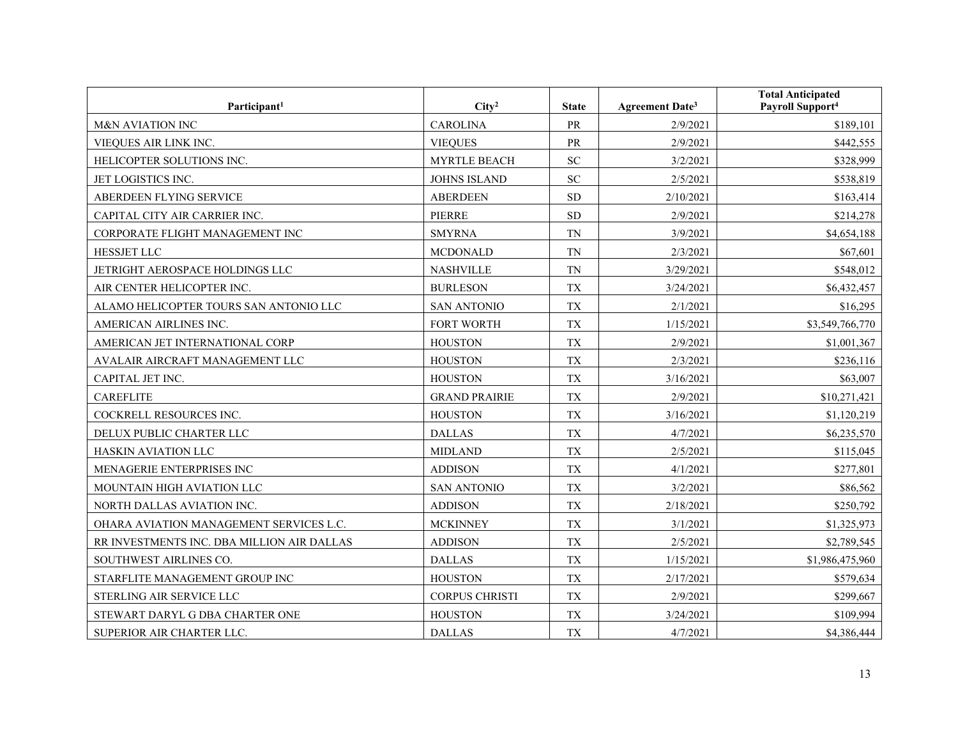| Participant <sup>1</sup>                   | City <sup>2</sup>     | <b>State</b> | Agreement Date <sup>3</sup> | <b>Total Anticipated</b><br>Payroll Support <sup>4</sup> |
|--------------------------------------------|-----------------------|--------------|-----------------------------|----------------------------------------------------------|
| <b>M&amp;N AVIATION INC</b>                | <b>CAROLINA</b>       | PR           | 2/9/2021                    | \$189,101                                                |
| VIEQUES AIR LINK INC.                      | <b>VIEQUES</b>        | PR           | 2/9/2021                    | \$442,555                                                |
| HELICOPTER SOLUTIONS INC.                  | <b>MYRTLE BEACH</b>   | <b>SC</b>    | 3/2/2021                    | \$328,999                                                |
| JET LOGISTICS INC.                         | <b>JOHNS ISLAND</b>   | <b>SC</b>    | 2/5/2021                    | \$538,819                                                |
| ABERDEEN FLYING SERVICE                    | <b>ABERDEEN</b>       | <b>SD</b>    | 2/10/2021                   | \$163,414                                                |
| CAPITAL CITY AIR CARRIER INC.              | PIERRE                | <b>SD</b>    | 2/9/2021                    | \$214,278                                                |
| CORPORATE FLIGHT MANAGEMENT INC            | <b>SMYRNA</b>         | <b>TN</b>    | 3/9/2021                    | \$4,654,188                                              |
| <b>HESSJET LLC</b>                         | <b>MCDONALD</b>       | <b>TN</b>    | 2/3/2021                    | \$67,601                                                 |
| JETRIGHT AEROSPACE HOLDINGS LLC            | <b>NASHVILLE</b>      | <b>TN</b>    | 3/29/2021                   | \$548,012                                                |
| AIR CENTER HELICOPTER INC.                 | <b>BURLESON</b>       | <b>TX</b>    | 3/24/2021                   | \$6,432,457                                              |
| ALAMO HELICOPTER TOURS SAN ANTONIO LLC     | <b>SAN ANTONIO</b>    | <b>TX</b>    | 2/1/2021                    | \$16,295                                                 |
| AMERICAN AIRLINES INC.                     | <b>FORT WORTH</b>     | <b>TX</b>    | 1/15/2021                   | \$3,549,766,770                                          |
| AMERICAN JET INTERNATIONAL CORP            | <b>HOUSTON</b>        | <b>TX</b>    | 2/9/2021                    | \$1,001,367                                              |
| AVALAIR AIRCRAFT MANAGEMENT LLC            | <b>HOUSTON</b>        | <b>TX</b>    | 2/3/2021                    | \$236,116                                                |
| CAPITAL JET INC.                           | <b>HOUSTON</b>        | <b>TX</b>    | 3/16/2021                   | \$63,007                                                 |
| <b>CAREFLITE</b>                           | <b>GRAND PRAIRIE</b>  | <b>TX</b>    | 2/9/2021                    | \$10,271,421                                             |
| COCKRELL RESOURCES INC.                    | <b>HOUSTON</b>        | <b>TX</b>    | 3/16/2021                   | \$1,120,219                                              |
| DELUX PUBLIC CHARTER LLC                   | <b>DALLAS</b>         | <b>TX</b>    | 4/7/2021                    | \$6,235,570                                              |
| HASKIN AVIATION LLC                        | <b>MIDLAND</b>        | <b>TX</b>    | 2/5/2021                    | \$115,045                                                |
| MENAGERIE ENTERPRISES INC                  | <b>ADDISON</b>        | <b>TX</b>    | 4/1/2021                    | \$277,801                                                |
| MOUNTAIN HIGH AVIATION LLC                 | <b>SAN ANTONIO</b>    | <b>TX</b>    | 3/2/2021                    | \$86,562                                                 |
| NORTH DALLAS AVIATION INC.                 | <b>ADDISON</b>        | <b>TX</b>    | 2/18/2021                   | \$250,792                                                |
| OHARA AVIATION MANAGEMENT SERVICES L.C.    | <b>MCKINNEY</b>       | <b>TX</b>    | 3/1/2021                    | \$1,325,973                                              |
| RR INVESTMENTS INC. DBA MILLION AIR DALLAS | <b>ADDISON</b>        | <b>TX</b>    | 2/5/2021                    | \$2,789,545                                              |
| SOUTHWEST AIRLINES CO.                     | <b>DALLAS</b>         | <b>TX</b>    | 1/15/2021                   | \$1,986,475,960                                          |
| STARFLITE MANAGEMENT GROUP INC             | <b>HOUSTON</b>        | <b>TX</b>    | 2/17/2021                   | \$579,634                                                |
| STERLING AIR SERVICE LLC                   | <b>CORPUS CHRISTI</b> | <b>TX</b>    | 2/9/2021                    | \$299,667                                                |
| STEWART DARYL G DBA CHARTER ONE            | <b>HOUSTON</b>        | TX           | 3/24/2021                   | \$109,994                                                |
| SUPERIOR AIR CHARTER LLC.                  | <b>DALLAS</b>         | <b>TX</b>    | 4/7/2021                    | \$4,386,444                                              |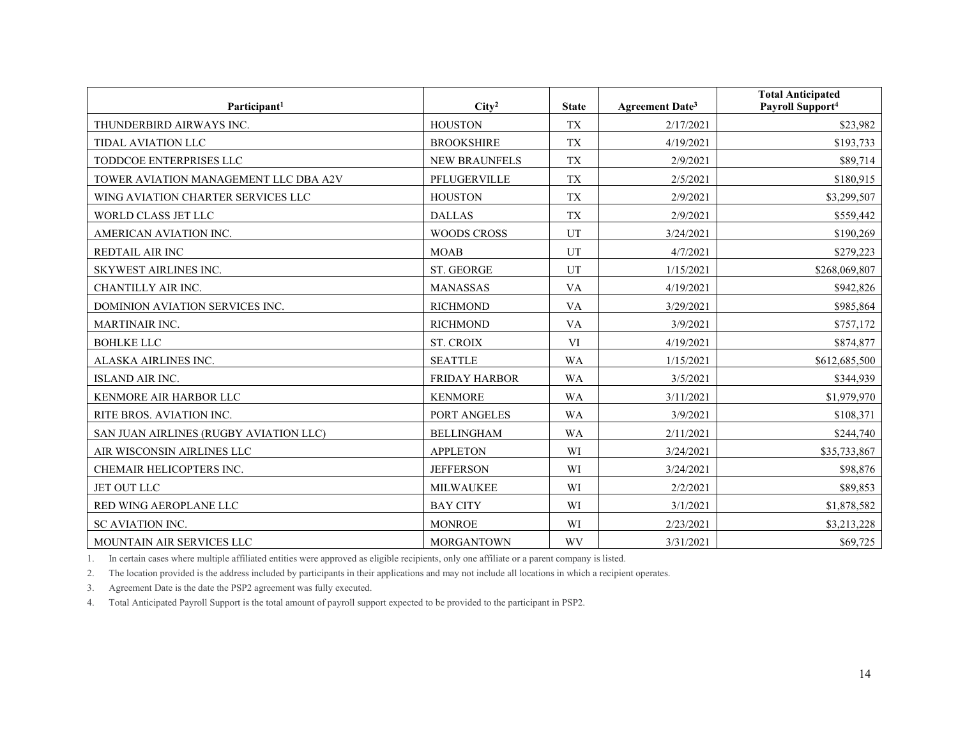| Participant <sup>1</sup>               | City <sup>2</sup>    | <b>State</b> | Agreement Date <sup>3</sup> | <b>Total Anticipated</b><br>Payroll Support <sup>4</sup> |
|----------------------------------------|----------------------|--------------|-----------------------------|----------------------------------------------------------|
| THUNDERBIRD AIRWAYS INC.               | <b>HOUSTON</b>       | <b>TX</b>    | 2/17/2021                   | \$23,982                                                 |
| <b>TIDAL AVIATION LLC</b>              | <b>BROOKSHIRE</b>    | <b>TX</b>    | 4/19/2021                   | \$193,733                                                |
| TODDCOE ENTERPRISES LLC                | <b>NEW BRAUNFELS</b> | <b>TX</b>    | 2/9/2021                    | \$89,714                                                 |
| TOWER AVIATION MANAGEMENT LLC DBA A2V  | PFLUGERVILLE         | <b>TX</b>    | 2/5/2021                    | \$180,915                                                |
| WING AVIATION CHARTER SERVICES LLC     | <b>HOUSTON</b>       | <b>TX</b>    | 2/9/2021                    | \$3,299,507                                              |
| <b>WORLD CLASS JET LLC</b>             | <b>DALLAS</b>        | <b>TX</b>    | 2/9/2021                    | \$559,442                                                |
| AMERICAN AVIATION INC.                 | <b>WOODS CROSS</b>   | UT           | 3/24/2021                   | \$190,269                                                |
| <b>REDTAIL AIR INC</b>                 | <b>MOAB</b>          | UT           | 4/7/2021                    | \$279,223                                                |
| <b>SKYWEST AIRLINES INC.</b>           | <b>ST. GEORGE</b>    | UT           | 1/15/2021                   | \$268,069,807                                            |
| CHANTILLY AIR INC.                     | <b>MANASSAS</b>      | <b>VA</b>    | 4/19/2021                   | \$942,826                                                |
| <b>DOMINION AVIATION SERVICES INC.</b> | <b>RICHMOND</b>      | <b>VA</b>    | 3/29/2021                   | \$985,864                                                |
| <b>MARTINAIR INC.</b>                  | <b>RICHMOND</b>      | <b>VA</b>    | 3/9/2021                    | \$757,172                                                |
| <b>BOHLKE LLC</b>                      | <b>ST. CROIX</b>     | VI           | 4/19/2021                   | \$874,877                                                |
| ALASKA AIRLINES INC.                   | <b>SEATTLE</b>       | <b>WA</b>    | 1/15/2021                   | \$612,685,500                                            |
| <b>ISLAND AIR INC.</b>                 | <b>FRIDAY HARBOR</b> | <b>WA</b>    | 3/5/2021                    | \$344,939                                                |
| KENMORE AIR HARBOR LLC                 | <b>KENMORE</b>       | <b>WA</b>    | 3/11/2021                   | \$1,979,970                                              |
| RITE BROS. AVIATION INC.               | PORT ANGELES         | <b>WA</b>    | 3/9/2021                    | \$108,371                                                |
| SAN JUAN AIRLINES (RUGBY AVIATION LLC) | <b>BELLINGHAM</b>    | <b>WA</b>    | 2/11/2021                   | \$244,740                                                |
| AIR WISCONSIN AIRLINES LLC             | <b>APPLETON</b>      | WI           | 3/24/2021                   | \$35,733,867                                             |
| CHEMAIR HELICOPTERS INC.               | <b>JEFFERSON</b>     | WI           | 3/24/2021                   | \$98,876                                                 |
| <b>JET OUT LLC</b>                     | <b>MILWAUKEE</b>     | WI           | 2/2/2021                    | \$89,853                                                 |
| RED WING AEROPLANE LLC                 | <b>BAY CITY</b>      | WI           | 3/1/2021                    | \$1,878,582                                              |
| SC AVIATION INC.                       | <b>MONROE</b>        | WI           | 2/23/2021                   | \$3,213,228                                              |
| MOUNTAIN AIR SERVICES LLC              | <b>MORGANTOWN</b>    | <b>WV</b>    | 3/31/2021                   | \$69,725                                                 |

1. In certain cases where multiple affiliated entities were approved as eligible recipients, only one affiliate or a parent company is listed.

2. The location provided is the address included by participants in their applications and may not include all locations in which a recipient operates.

3. Agreement Date is the date the PSP2 agreement was fully executed.

4. Total Anticipated Payroll Support is the total amount of payroll support expected to be provided to the participant in PSP2.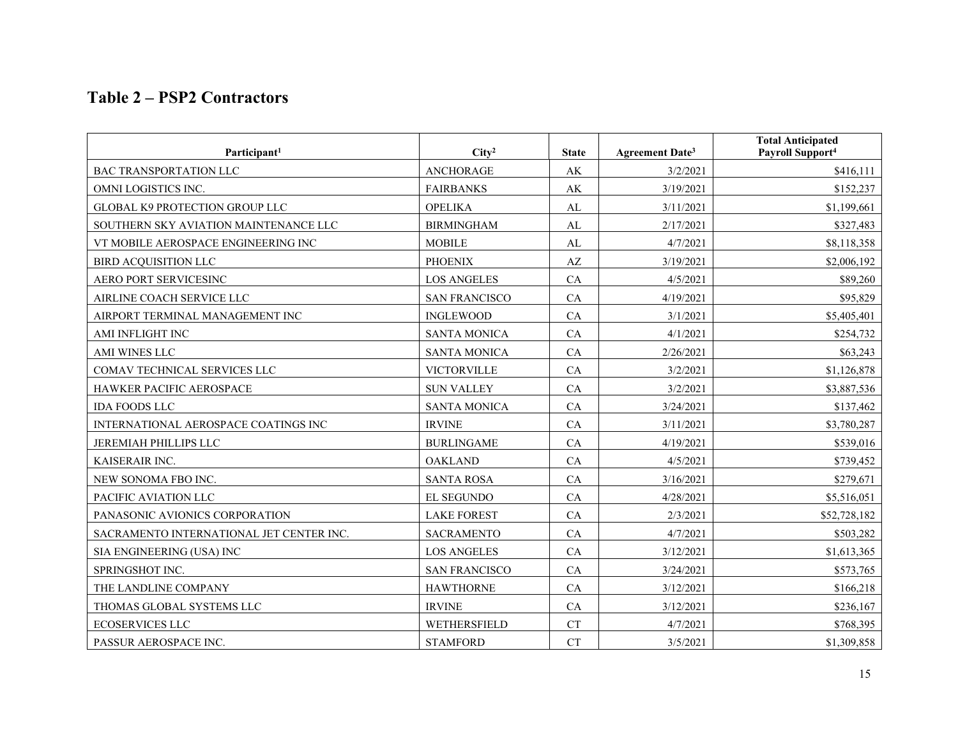## **Table 2 – PSP2 Contractors**

| Participant <sup>1</sup>                 | City <sup>2</sup>    | <b>State</b> | Agreement Date <sup>3</sup> | <b>Total Anticipated</b><br>Payroll Support <sup>4</sup> |
|------------------------------------------|----------------------|--------------|-----------------------------|----------------------------------------------------------|
| <b>BAC TRANSPORTATION LLC</b>            | <b>ANCHORAGE</b>     | AK           | 3/2/2021                    | \$416,111                                                |
| OMNI LOGISTICS INC.                      | <b>FAIRBANKS</b>     | AK           | 3/19/2021                   | \$152,237                                                |
| <b>GLOBAL K9 PROTECTION GROUP LLC</b>    | <b>OPELIKA</b>       | AL           | 3/11/2021                   | \$1,199,661                                              |
| SOUTHERN SKY AVIATION MAINTENANCE LLC    | <b>BIRMINGHAM</b>    | AL           | 2/17/2021                   | \$327,483                                                |
| VT MOBILE AEROSPACE ENGINEERING INC      | <b>MOBILE</b>        | AL           | 4/7/2021                    | \$8,118,358                                              |
| <b>BIRD ACQUISITION LLC</b>              | <b>PHOENIX</b>       | AZ           | 3/19/2021                   | \$2,006,192                                              |
| AERO PORT SERVICESINC                    | <b>LOS ANGELES</b>   | CA           | 4/5/2021                    | \$89,260                                                 |
| AIRLINE COACH SERVICE LLC                | <b>SAN FRANCISCO</b> | CA           | 4/19/2021                   | \$95,829                                                 |
| AIRPORT TERMINAL MANAGEMENT INC          | <b>INGLEWOOD</b>     | CA           | 3/1/2021                    | \$5,405,401                                              |
| AMI INFLIGHT INC                         | <b>SANTA MONICA</b>  | CA           | 4/1/2021                    | \$254,732                                                |
| AMI WINES LLC                            | <b>SANTA MONICA</b>  | CA           | 2/26/2021                   | \$63,243                                                 |
| COMAV TECHNICAL SERVICES LLC             | VICTORVILLE          | CA           | 3/2/2021                    | \$1,126,878                                              |
| HAWKER PACIFIC AEROSPACE                 | <b>SUN VALLEY</b>    | CA           | 3/2/2021                    | \$3,887,536                                              |
| <b>IDA FOODS LLC</b>                     | <b>SANTA MONICA</b>  | CA           | 3/24/2021                   | \$137,462                                                |
| INTERNATIONAL AEROSPACE COATINGS INC     | <b>IRVINE</b>        | CA           | 3/11/2021                   | \$3,780,287                                              |
| JEREMIAH PHILLIPS LLC                    | <b>BURLINGAME</b>    | CA           | 4/19/2021                   | \$539,016                                                |
| KAISERAIR INC.                           | <b>OAKLAND</b>       | CA           | 4/5/2021                    | \$739,452                                                |
| NEW SONOMA FBO INC.                      | <b>SANTA ROSA</b>    | CA           | 3/16/2021                   | \$279,671                                                |
| PACIFIC AVIATION LLC                     | EL SEGUNDO           | CA           | 4/28/2021                   | \$5,516,051                                              |
| PANASONIC AVIONICS CORPORATION           | <b>LAKE FOREST</b>   | CA           | 2/3/2021                    | \$52,728,182                                             |
| SACRAMENTO INTERNATIONAL JET CENTER INC. | <b>SACRAMENTO</b>    | CA           | 4/7/2021                    | \$503,282                                                |
| SIA ENGINEERING (USA) INC                | <b>LOS ANGELES</b>   | CA           | 3/12/2021                   | \$1,613,365                                              |
| SPRINGSHOT INC.                          | <b>SAN FRANCISCO</b> | CA           | 3/24/2021                   | \$573,765                                                |
| THE LANDLINE COMPANY                     | <b>HAWTHORNE</b>     | CA           | 3/12/2021                   | \$166,218                                                |
| THOMAS GLOBAL SYSTEMS LLC                | <b>IRVINE</b>        | CA           | 3/12/2021                   | \$236,167                                                |
| <b>ECOSERVICES LLC</b>                   | WETHERSFIELD         | CT           | 4/7/2021                    | \$768,395                                                |
| PASSUR AEROSPACE INC.                    | <b>STAMFORD</b>      | <b>CT</b>    | 3/5/2021                    | \$1,309,858                                              |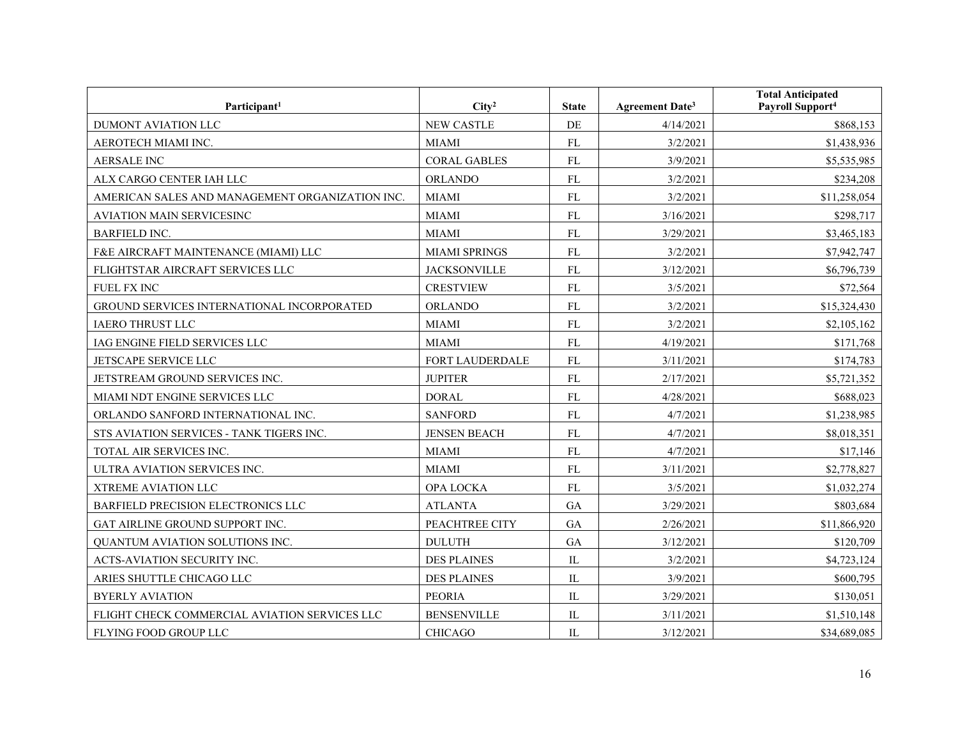| Participant <sup>1</sup>                        | City <sup>2</sup>    | <b>State</b> | <b>Agreement Date<sup>3</sup></b> | <b>Total Anticipated</b><br>Payroll Support <sup>4</sup> |
|-------------------------------------------------|----------------------|--------------|-----------------------------------|----------------------------------------------------------|
| DUMONT AVIATION LLC                             | <b>NEW CASTLE</b>    | DE           | 4/14/2021                         | \$868,153                                                |
| AEROTECH MIAMI INC.                             | <b>MIAMI</b>         | <b>FL</b>    | 3/2/2021                          | \$1,438,936                                              |
| <b>AERSALE INC</b>                              | <b>CORAL GABLES</b>  | FL           | 3/9/2021                          | \$5,535,985                                              |
| ALX CARGO CENTER IAH LLC                        | <b>ORLANDO</b>       | FL           | 3/2/2021                          | \$234,208                                                |
| AMERICAN SALES AND MANAGEMENT ORGANIZATION INC. | <b>MIAMI</b>         | FL           | 3/2/2021                          | \$11,258,054                                             |
| AVIATION MAIN SERVICESINC                       | <b>MIAMI</b>         | FL           | 3/16/2021                         | \$298,717                                                |
| <b>BARFIELD INC.</b>                            | <b>MIAMI</b>         | FL           | 3/29/2021                         | \$3,465,183                                              |
| F&E AIRCRAFT MAINTENANCE (MIAMI) LLC            | <b>MIAMI SPRINGS</b> | <b>FL</b>    | 3/2/2021                          | \$7,942,747                                              |
| FLIGHTSTAR AIRCRAFT SERVICES LLC                | <b>JACKSONVILLE</b>  | FL           | 3/12/2021                         | \$6,796,739                                              |
| FUEL FX INC                                     | <b>CRESTVIEW</b>     | FL           | 3/5/2021                          | \$72,564                                                 |
| GROUND SERVICES INTERNATIONAL INCORPORATED      | <b>ORLANDO</b>       | ${\rm FL}$   | 3/2/2021                          | \$15,324,430                                             |
| <b>IAERO THRUST LLC</b>                         | <b>MIAMI</b>         | FL           | 3/2/2021                          | \$2,105,162                                              |
| IAG ENGINE FIELD SERVICES LLC                   | <b>MIAMI</b>         | FL           | 4/19/2021                         | \$171,768                                                |
| JETSCAPE SERVICE LLC                            | FORT LAUDERDALE      | ${\rm FL}$   | 3/11/2021                         | \$174,783                                                |
| JETSTREAM GROUND SERVICES INC.                  | <b>JUPITER</b>       | FL           | 2/17/2021                         | \$5,721,352                                              |
| MIAMI NDT ENGINE SERVICES LLC                   | <b>DORAL</b>         | <b>FL</b>    | 4/28/2021                         | \$688,023                                                |
| ORLANDO SANFORD INTERNATIONAL INC.              | <b>SANFORD</b>       | <b>FL</b>    | 4/7/2021                          | \$1,238,985                                              |
| STS AVIATION SERVICES - TANK TIGERS INC.        | <b>JENSEN BEACH</b>  | FL           | 4/7/2021                          | \$8,018,351                                              |
| TOTAL AIR SERVICES INC.                         | <b>MIAMI</b>         | ${\rm FL}$   | 4/7/2021                          | \$17,146                                                 |
| ULTRA AVIATION SERVICES INC.                    | <b>MIAMI</b>         | ${\rm FL}$   | 3/11/2021                         | \$2,778,827                                              |
| XTREME AVIATION LLC                             | OPA LOCKA            | ${\rm FL}$   | 3/5/2021                          | \$1,032,274                                              |
| BARFIELD PRECISION ELECTRONICS LLC              | <b>ATLANTA</b>       | <b>GA</b>    | 3/29/2021                         | \$803,684                                                |
| GAT AIRLINE GROUND SUPPORT INC.                 | PEACHTREE CITY       | <b>GA</b>    | 2/26/2021                         | \$11,866,920                                             |
| QUANTUM AVIATION SOLUTIONS INC.                 | <b>DULUTH</b>        | GA           | 3/12/2021                         | \$120,709                                                |
| ACTS-AVIATION SECURITY INC.                     | <b>DES PLAINES</b>   | $\rm IL$     | 3/2/2021                          | \$4,723,124                                              |
| ARIES SHUTTLE CHICAGO LLC                       | <b>DES PLAINES</b>   | $\mathbf{L}$ | 3/9/2021                          | \$600,795                                                |
| <b>BYERLY AVIATION</b>                          | <b>PEORIA</b>        | $\rm IL$     | 3/29/2021                         | \$130,051                                                |
| FLIGHT CHECK COMMERCIAL AVIATION SERVICES LLC   | <b>BENSENVILLE</b>   | IL           | 3/11/2021                         | \$1,510,148                                              |
| FLYING FOOD GROUP LLC                           | <b>CHICAGO</b>       | IL           | 3/12/2021                         | \$34,689,085                                             |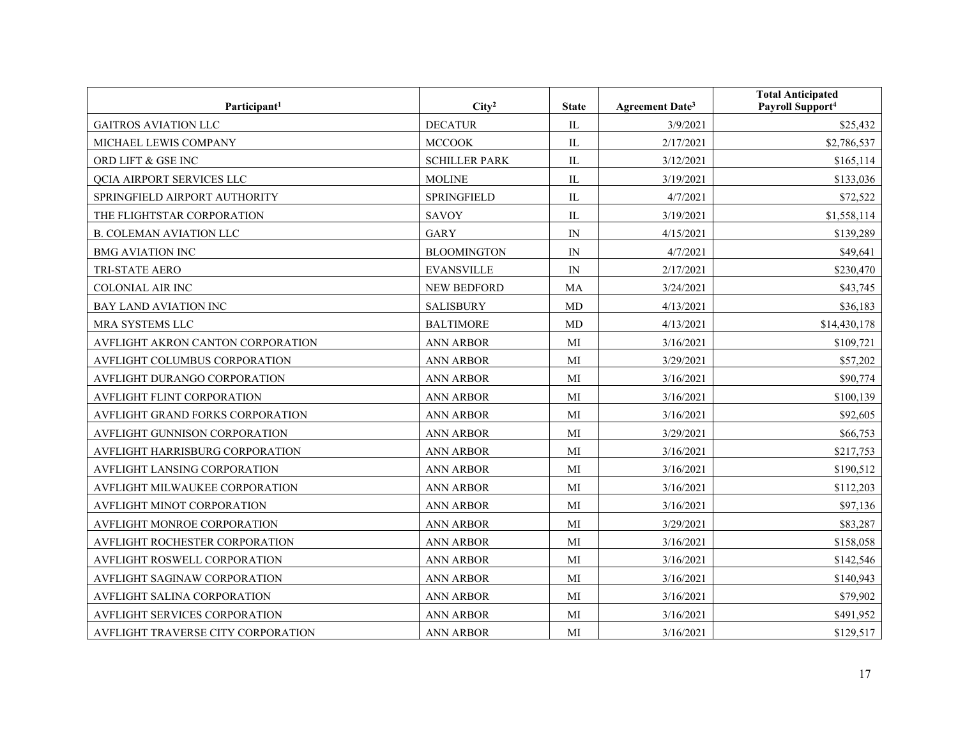| Participant <sup>1</sup>           | City <sup>2</sup>    | <b>State</b>               | <b>Agreement Date<sup>3</sup></b> | <b>Total Anticipated</b><br>Payroll Support <sup>4</sup> |
|------------------------------------|----------------------|----------------------------|-----------------------------------|----------------------------------------------------------|
| <b>GAITROS AVIATION LLC</b>        | <b>DECATUR</b>       | IL                         | 3/9/2021                          | \$25,432                                                 |
| MICHAEL LEWIS COMPANY              | <b>MCCOOK</b>        | IL                         | 2/17/2021                         | \$2,786,537                                              |
| ORD LIFT & GSE INC                 | <b>SCHILLER PARK</b> | IL                         | 3/12/2021                         | \$165,114                                                |
| <b>QCIA AIRPORT SERVICES LLC</b>   | <b>MOLINE</b>        | IL                         | 3/19/2021                         | \$133,036                                                |
| SPRINGFIELD AIRPORT AUTHORITY      | <b>SPRINGFIELD</b>   | IL                         | 4/7/2021                          | \$72,522                                                 |
| THE FLIGHTSTAR CORPORATION         | SAVOY                | IL                         | 3/19/2021                         | \$1,558,114                                              |
| <b>B. COLEMAN AVIATION LLC</b>     | <b>GARY</b>          | $\mathop{\rm IN}\nolimits$ | 4/15/2021                         | \$139,289                                                |
| <b>BMG AVIATION INC</b>            | <b>BLOOMINGTON</b>   | $\ensuremath{\text{IN}}$   | 4/7/2021                          | \$49,641                                                 |
| TRI-STATE AERO                     | <b>EVANSVILLE</b>    | $\ensuremath{\text{IN}}$   | 2/17/2021                         | \$230,470                                                |
| COLONIAL AIR INC                   | NEW BEDFORD          | MA                         | 3/24/2021                         | \$43,745                                                 |
| BAY LAND AVIATION INC              | <b>SALISBURY</b>     | MD                         | 4/13/2021                         | \$36,183                                                 |
| MRA SYSTEMS LLC                    | <b>BALTIMORE</b>     | MD                         | 4/13/2021                         | \$14,430,178                                             |
| AVFLIGHT AKRON CANTON CORPORATION  | <b>ANN ARBOR</b>     | MI                         | 3/16/2021                         | \$109,721                                                |
| AVFLIGHT COLUMBUS CORPORATION      | <b>ANN ARBOR</b>     | MI                         | 3/29/2021                         | \$57,202                                                 |
| AVFLIGHT DURANGO CORPORATION       | <b>ANN ARBOR</b>     | MI                         | 3/16/2021                         | \$90,774                                                 |
| AVFLIGHT FLINT CORPORATION         | <b>ANN ARBOR</b>     | MI                         | 3/16/2021                         | \$100,139                                                |
| AVFLIGHT GRAND FORKS CORPORATION   | <b>ANN ARBOR</b>     | MI                         | 3/16/2021                         | \$92,605                                                 |
| AVFLIGHT GUNNISON CORPORATION      | ANN ARBOR            | MI                         | 3/29/2021                         | \$66,753                                                 |
| AVFLIGHT HARRISBURG CORPORATION    | <b>ANN ARBOR</b>     | MI                         | 3/16/2021                         | \$217,753                                                |
| AVFLIGHT LANSING CORPORATION       | <b>ANN ARBOR</b>     | MI                         | 3/16/2021                         | \$190,512                                                |
| AVFLIGHT MILWAUKEE CORPORATION     | <b>ANN ARBOR</b>     | MI                         | 3/16/2021                         | \$112,203                                                |
| AVFLIGHT MINOT CORPORATION         | <b>ANN ARBOR</b>     | MI                         | 3/16/2021                         | \$97,136                                                 |
| AVFLIGHT MONROE CORPORATION        | <b>ANN ARBOR</b>     | MI                         | 3/29/2021                         | \$83,287                                                 |
| AVFLIGHT ROCHESTER CORPORATION     | <b>ANN ARBOR</b>     | MI                         | 3/16/2021                         | \$158,058                                                |
| AVFLIGHT ROSWELL CORPORATION       | <b>ANN ARBOR</b>     | MI                         | 3/16/2021                         | \$142,546                                                |
| AVFLIGHT SAGINAW CORPORATION       | <b>ANN ARBOR</b>     | MI                         | 3/16/2021                         | \$140,943                                                |
| AVFLIGHT SALINA CORPORATION        | <b>ANN ARBOR</b>     | MI                         | 3/16/2021                         | \$79,902                                                 |
| AVFLIGHT SERVICES CORPORATION      | <b>ANN ARBOR</b>     | MI                         | 3/16/2021                         | \$491,952                                                |
| AVFLIGHT TRAVERSE CITY CORPORATION | <b>ANN ARBOR</b>     | MI                         | 3/16/2021                         | \$129,517                                                |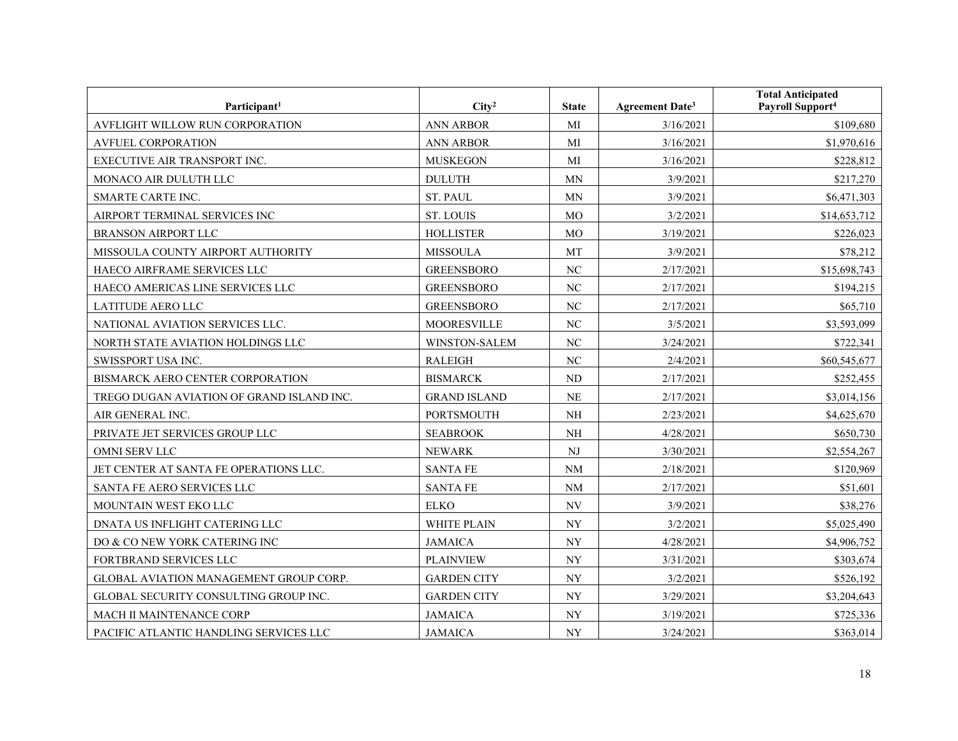| Participant <sup>1</sup>                  | City <sup>2</sup>   | <b>State</b>             | <b>Agreement Date<sup>3</sup></b> | <b>Total Anticipated</b><br>Payroll Support <sup>4</sup> |
|-------------------------------------------|---------------------|--------------------------|-----------------------------------|----------------------------------------------------------|
| AVFLIGHT WILLOW RUN CORPORATION           | <b>ANN ARBOR</b>    | MI                       | 3/16/2021                         | \$109,680                                                |
| <b>AVFUEL CORPORATION</b>                 | <b>ANN ARBOR</b>    | MI                       | 3/16/2021                         | \$1,970,616                                              |
| EXECUTIVE AIR TRANSPORT INC.              | <b>MUSKEGON</b>     | MI                       | 3/16/2021                         | \$228,812                                                |
| MONACO AIR DULUTH LLC                     | <b>DULUTH</b>       | MN                       | 3/9/2021                          | \$217,270                                                |
| SMARTE CARTE INC.                         | <b>ST. PAUL</b>     | MN                       | 3/9/2021                          | \$6,471,303                                              |
| AIRPORT TERMINAL SERVICES INC             | <b>ST. LOUIS</b>    | MO                       | 3/2/2021                          | \$14,653,712                                             |
| <b>BRANSON AIRPORT LLC</b>                | <b>HOLLISTER</b>    | MO                       | 3/19/2021                         | \$226,023                                                |
| MISSOULA COUNTY AIRPORT AUTHORITY         | <b>MISSOULA</b>     | MT                       | 3/9/2021                          | \$78,212                                                 |
| HAECO AIRFRAME SERVICES LLC               | <b>GREENSBORO</b>   | NC                       | 2/17/2021                         | \$15,698,743                                             |
| HAECO AMERICAS LINE SERVICES LLC          | <b>GREENSBORO</b>   | NC                       | 2/17/2021                         | \$194,215                                                |
| <b>LATITUDE AERO LLC</b>                  | <b>GREENSBORO</b>   | NC                       | 2/17/2021                         | \$65,710                                                 |
| NATIONAL AVIATION SERVICES LLC.           | <b>MOORESVILLE</b>  | NC                       | 3/5/2021                          | \$3,593,099                                              |
| NORTH STATE AVIATION HOLDINGS LLC         | WINSTON-SALEM       | NC                       | 3/24/2021                         | \$722,341                                                |
| SWISSPORT USA INC.                        | <b>RALEIGH</b>      | NC                       | 2/4/2021                          | \$60,545,677                                             |
| BISMARCK AERO CENTER CORPORATION          | <b>BISMARCK</b>     | ND                       | 2/17/2021                         | \$252,455                                                |
| TREGO DUGAN AVIATION OF GRAND ISLAND INC. | <b>GRAND ISLAND</b> | <b>NE</b>                | 2/17/2021                         | \$3,014,156                                              |
| AIR GENERAL INC.                          | <b>PORTSMOUTH</b>   | <b>NH</b>                | 2/23/2021                         | \$4,625,670                                              |
| PRIVATE JET SERVICES GROUP LLC            | <b>SEABROOK</b>     | <b>NH</b>                | 4/28/2021                         | \$650,730                                                |
| OMNI SERV LLC                             | <b>NEWARK</b>       | $\mathbf{N}\mathbf{J}$   | 3/30/2021                         | \$2,554,267                                              |
| JET CENTER AT SANTA FE OPERATIONS LLC.    | <b>SANTA FE</b>     | $\rm NM$                 | 2/18/2021                         | \$120,969                                                |
| SANTA FE AERO SERVICES LLC                | <b>SANTA FE</b>     | $\rm NM$                 | 2/17/2021                         | \$51,601                                                 |
| MOUNTAIN WEST EKO LLC                     | <b>ELKO</b>         | NV                       | 3/9/2021                          | \$38,276                                                 |
| DNATA US INFLIGHT CATERING LLC            | WHITE PLAIN         | <b>NY</b>                | 3/2/2021                          | \$5,025,490                                              |
| DO & CO NEW YORK CATERING INC             | <b>JAMAICA</b>      | <b>NY</b>                | 4/28/2021                         | \$4,906,752                                              |
| FORTBRAND SERVICES LLC                    | <b>PLAINVIEW</b>    | <b>NY</b>                | 3/31/2021                         | \$303,674                                                |
| GLOBAL AVIATION MANAGEMENT GROUP CORP.    | <b>GARDEN CITY</b>  | ${\rm NY}$               | 3/2/2021                          | \$526,192                                                |
| GLOBAL SECURITY CONSULTING GROUP INC.     | <b>GARDEN CITY</b>  | <b>NY</b>                | 3/29/2021                         | \$3,204,643                                              |
| MACH II MAINTENANCE CORP                  | <b>JAMAICA</b>      | $\ensuremath{\text{NY}}$ | 3/19/2021                         | \$725,336                                                |
| PACIFIC ATLANTIC HANDLING SERVICES LLC    | <b>JAMAICA</b>      | $\ensuremath{\text{NY}}$ | 3/24/2021                         | \$363,014                                                |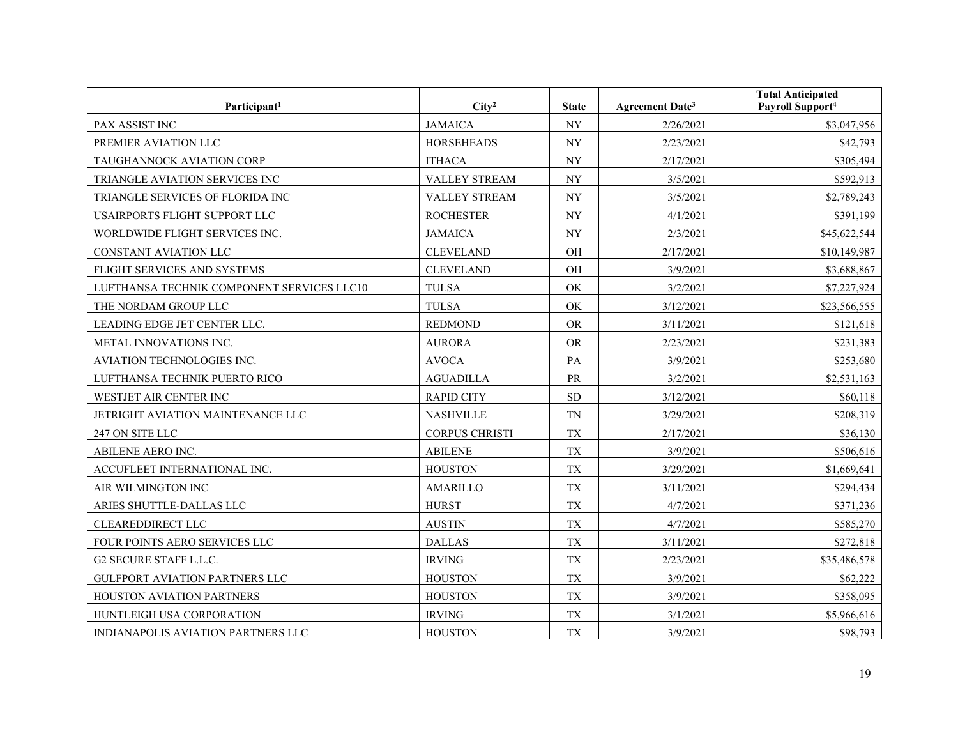| Participant <sup>1</sup>                   | City <sup>2</sup>     | <b>State</b>             | <b>Agreement Date<sup>3</sup></b> | <b>Total Anticipated</b><br>Payroll Support <sup>4</sup> |
|--------------------------------------------|-----------------------|--------------------------|-----------------------------------|----------------------------------------------------------|
| PAX ASSIST INC                             | <b>JAMAICA</b>        | <b>NY</b>                | 2/26/2021                         | \$3,047,956                                              |
| PREMIER AVIATION LLC                       | <b>HORSEHEADS</b>     | $\ensuremath{\text{NY}}$ | 2/23/2021                         | \$42,793                                                 |
| TAUGHANNOCK AVIATION CORP                  | <b>ITHACA</b>         | $\ensuremath{\text{NY}}$ | 2/17/2021                         | \$305,494                                                |
| TRIANGLE AVIATION SERVICES INC             | <b>VALLEY STREAM</b>  | $\ensuremath{\text{NY}}$ | 3/5/2021                          | \$592,913                                                |
| TRIANGLE SERVICES OF FLORIDA INC           | VALLEY STREAM         | $\ensuremath{\text{NY}}$ | 3/5/2021                          | \$2,789,243                                              |
| USAIRPORTS FLIGHT SUPPORT LLC              | <b>ROCHESTER</b>      | $\ensuremath{\text{NY}}$ | 4/1/2021                          | \$391,199                                                |
| WORLDWIDE FLIGHT SERVICES INC.             | <b>JAMAICA</b>        | $\ensuremath{\text{NY}}$ | 2/3/2021                          | \$45,622,544                                             |
| CONSTANT AVIATION LLC                      | <b>CLEVELAND</b>      | OH                       | 2/17/2021                         | \$10,149,987                                             |
| FLIGHT SERVICES AND SYSTEMS                | <b>CLEVELAND</b>      | OH                       | 3/9/2021                          | \$3,688,867                                              |
| LUFTHANSA TECHNIK COMPONENT SERVICES LLC10 | <b>TULSA</b>          | OK                       | 3/2/2021                          | \$7,227,924                                              |
| THE NORDAM GROUP LLC                       | <b>TULSA</b>          | OK                       | 3/12/2021                         | \$23,566,555                                             |
| LEADING EDGE JET CENTER LLC.               | <b>REDMOND</b>        | <b>OR</b>                | 3/11/2021                         | \$121,618                                                |
| METAL INNOVATIONS INC.                     | <b>AURORA</b>         | <b>OR</b>                | 2/23/2021                         | \$231,383                                                |
| AVIATION TECHNOLOGIES INC.                 | <b>AVOCA</b>          | PA                       | 3/9/2021                          | \$253,680                                                |
| LUFTHANSA TECHNIK PUERTO RICO              | <b>AGUADILLA</b>      | PR                       | 3/2/2021                          | \$2,531,163                                              |
| WESTJET AIR CENTER INC                     | <b>RAPID CITY</b>     | <b>SD</b>                | 3/12/2021                         | \$60,118                                                 |
| JETRIGHT AVIATION MAINTENANCE LLC          | <b>NASHVILLE</b>      | <b>TN</b>                | 3/29/2021                         | \$208,319                                                |
| 247 ON SITE LLC                            | <b>CORPUS CHRISTI</b> | <b>TX</b>                | 2/17/2021                         | \$36,130                                                 |
| ABILENE AERO INC.                          | <b>ABILENE</b>        | <b>TX</b>                | 3/9/2021                          | \$506,616                                                |
| ACCUFLEET INTERNATIONAL INC.               | <b>HOUSTON</b>        | <b>TX</b>                | 3/29/2021                         | \$1,669,641                                              |
| AIR WILMINGTON INC                         | <b>AMARILLO</b>       | <b>TX</b>                | 3/11/2021                         | \$294,434                                                |
| ARIES SHUTTLE-DALLAS LLC                   | <b>HURST</b>          | <b>TX</b>                | 4/7/2021                          | \$371,236                                                |
| <b>CLEAREDDIRECT LLC</b>                   | <b>AUSTIN</b>         | <b>TX</b>                | 4/7/2021                          | \$585,270                                                |
| FOUR POINTS AERO SERVICES LLC              | <b>DALLAS</b>         | <b>TX</b>                | 3/11/2021                         | \$272,818                                                |
| G2 SECURE STAFF L.L.C.                     | <b>IRVING</b>         | <b>TX</b>                | 2/23/2021                         | \$35,486,578                                             |
| GULFPORT AVIATION PARTNERS LLC             | <b>HOUSTON</b>        | <b>TX</b>                | 3/9/2021                          | \$62,222                                                 |
| HOUSTON AVIATION PARTNERS                  | <b>HOUSTON</b>        | ${\rm T}{\rm X}$         | 3/9/2021                          | \$358,095                                                |
| HUNTLEIGH USA CORPORATION                  | <b>IRVING</b>         | TX                       | 3/1/2021                          | \$5,966,616                                              |
| INDIANAPOLIS AVIATION PARTNERS LLC         | <b>HOUSTON</b>        | <b>TX</b>                | 3/9/2021                          | \$98,793                                                 |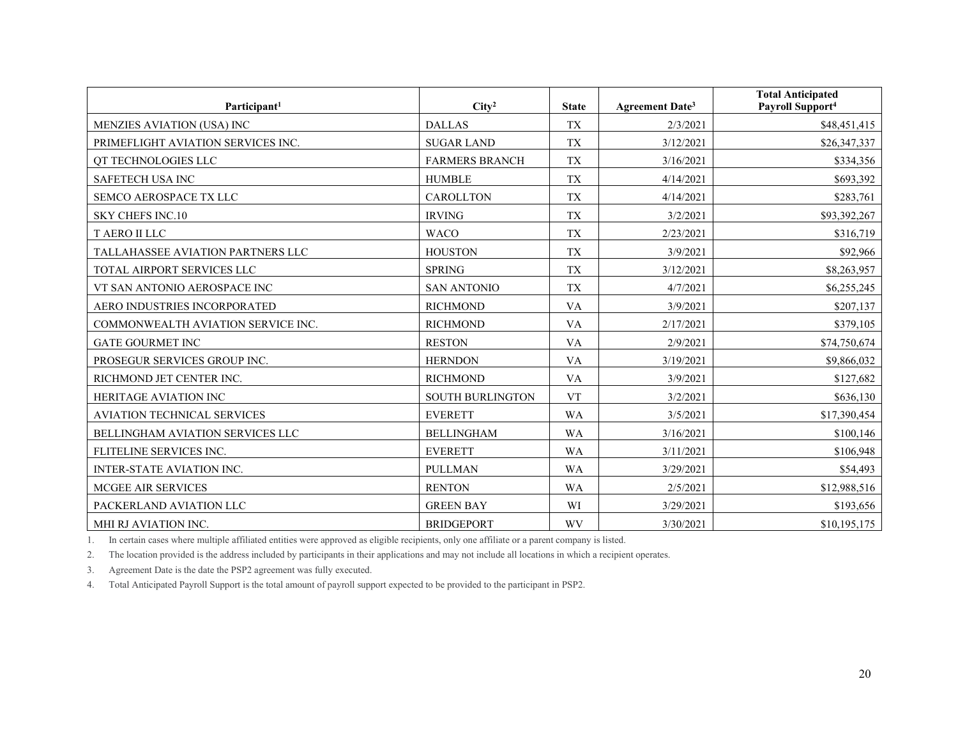| Participant <sup>1</sup>                | City <sup>2</sup>                               | <b>State</b> | Agreement Date <sup>3</sup> | <b>Total Anticipated</b><br>Payroll Support <sup>4</sup> |
|-----------------------------------------|-------------------------------------------------|--------------|-----------------------------|----------------------------------------------------------|
| MENZIES AVIATION (USA) INC              | <b>DALLAS</b>                                   | <b>TX</b>    | 2/3/2021                    | \$48,451,415                                             |
| PRIMEFLIGHT AVIATION SERVICES INC.      | <b>SUGAR LAND</b>                               | <b>TX</b>    | 3/12/2021                   | \$26,347,337                                             |
| QT TECHNOLOGIES LLC                     | <b>FARMERS BRANCH</b><br><b>TX</b><br>3/16/2021 |              | \$334,356                   |                                                          |
| SAFETECH USA INC                        | <b>HUMBLE</b>                                   | <b>TX</b>    | 4/14/2021                   | \$693,392                                                |
| SEMCO AEROSPACE TX LLC                  | <b>CAROLLTON</b>                                | <b>TX</b>    | 4/14/2021                   | \$283,761                                                |
| <b>SKY CHEFS INC.10</b>                 | <b>IRVING</b>                                   | <b>TX</b>    | 3/2/2021                    | \$93,392,267                                             |
| <b>T AERO II LLC</b>                    | <b>WACO</b>                                     | <b>TX</b>    | 2/23/2021                   | \$316,719                                                |
| TALLAHASSEE AVIATION PARTNERS LLC       | <b>HOUSTON</b>                                  | <b>TX</b>    | 3/9/2021                    | \$92,966                                                 |
| TOTAL AIRPORT SERVICES LLC              | <b>SPRING</b>                                   | <b>TX</b>    | 3/12/2021                   | \$8,263,957                                              |
| VT SAN ANTONIO AEROSPACE INC            | <b>SAN ANTONIO</b>                              | <b>TX</b>    | 4/7/2021                    | \$6,255,245                                              |
| AERO INDUSTRIES INCORPORATED            | <b>RICHMOND</b>                                 | <b>VA</b>    | 3/9/2021                    | \$207,137                                                |
| COMMONWEALTH AVIATION SERVICE INC.      | <b>RICHMOND</b>                                 | <b>VA</b>    | 2/17/2021                   | \$379,105                                                |
| <b>GATE GOURMET INC</b>                 | <b>RESTON</b>                                   | <b>VA</b>    | 2/9/2021                    | \$74,750,674                                             |
| PROSEGUR SERVICES GROUP INC.            | <b>HERNDON</b>                                  | <b>VA</b>    | 3/19/2021                   | \$9,866,032                                              |
| RICHMOND JET CENTER INC.                | <b>RICHMOND</b>                                 | <b>VA</b>    | 3/9/2021                    | \$127,682                                                |
| <b>HERITAGE AVIATION INC</b>            | <b>SOUTH BURLINGTON</b>                         | <b>VT</b>    | 3/2/2021                    | \$636,130                                                |
| <b>AVIATION TECHNICAL SERVICES</b>      | <b>EVERETT</b>                                  | <b>WA</b>    | 3/5/2021                    | \$17,390,454                                             |
| <b>BELLINGHAM AVIATION SERVICES LLC</b> | <b>BELLINGHAM</b>                               | <b>WA</b>    | 3/16/2021                   | \$100,146                                                |
| FLITELINE SERVICES INC.                 | <b>EVERETT</b>                                  | <b>WA</b>    | 3/11/2021                   | \$106,948                                                |
| INTER-STATE AVIATION INC.               | <b>PULLMAN</b>                                  | <b>WA</b>    | 3/29/2021                   | \$54,493                                                 |
| MCGEE AIR SERVICES                      | <b>RENTON</b>                                   | <b>WA</b>    | 2/5/2021                    | \$12,988,516                                             |
| PACKERLAND AVIATION LLC                 | <b>GREEN BAY</b>                                | WI           | 3/29/2021                   | \$193,656                                                |
| MHI RJ AVIATION INC.                    | <b>BRIDGEPORT</b>                               | <b>WV</b>    | 3/30/2021                   | \$10,195,175                                             |

1. In certain cases where multiple affiliated entities were approved as eligible recipients, only one affiliate or a parent company is listed.

2. The location provided is the address included by participants in their applications and may not include all locations in which a recipient operates.

3. Agreement Date is the date the PSP2 agreement was fully executed.

4. Total Anticipated Payroll Support is the total amount of payroll support expected to be provided to the participant in PSP2.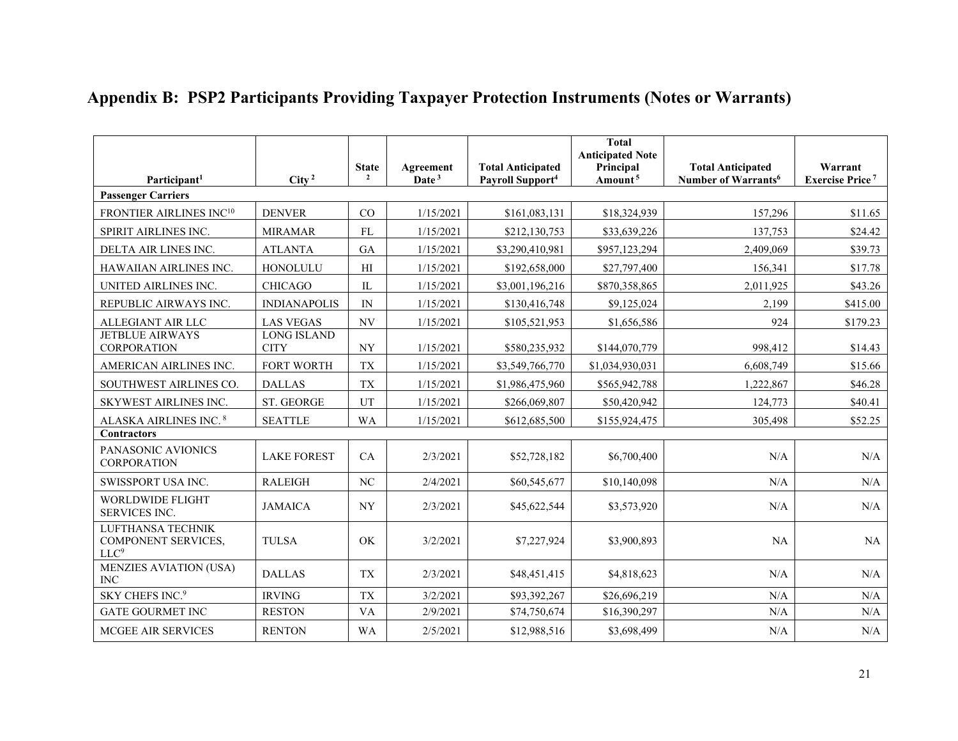| Participant <sup>1</sup>                                            | City <sup>2</sup>                 | <b>State</b><br>$\overline{2}$ | Agreement<br>Date <sup>3</sup> | <b>Total Anticipated</b><br>Payroll Support <sup>4</sup> | <b>Total</b><br><b>Anticipated Note</b><br>Principal<br>Amount <sup>5</sup> | <b>Total Anticipated</b><br>Number of Warrants <sup>6</sup> | Warrant<br><b>Exercise Price<sup>7</sup></b> |
|---------------------------------------------------------------------|-----------------------------------|--------------------------------|--------------------------------|----------------------------------------------------------|-----------------------------------------------------------------------------|-------------------------------------------------------------|----------------------------------------------|
| <b>Passenger Carriers</b>                                           |                                   |                                |                                |                                                          |                                                                             |                                                             |                                              |
| FRONTIER AIRLINES INC <sup>10</sup>                                 | <b>DENVER</b>                     | CO                             | 1/15/2021                      | \$161,083,131                                            | \$18,324,939                                                                | 157,296                                                     | \$11.65                                      |
| SPIRIT AIRLINES INC.                                                | <b>MIRAMAR</b>                    | ${\rm FL}$                     | 1/15/2021                      | \$212,130,753                                            | \$33,639,226                                                                | 137,753                                                     | \$24.42                                      |
| DELTA AIR LINES INC.                                                | <b>ATLANTA</b>                    | GA                             | 1/15/2021                      | \$3,290,410,981                                          | \$957,123,294                                                               | 2,409,069                                                   | \$39.73                                      |
| HAWAIIAN AIRLINES INC.                                              | HONOLULU                          | H                              | 1/15/2021                      | \$192,658,000                                            | \$27,797,400                                                                | 156,341                                                     | \$17.78                                      |
| UNITED AIRLINES INC.                                                | <b>CHICAGO</b>                    | $\mathop{\rm IL}\nolimits$     | 1/15/2021                      | \$3,001,196,216                                          | \$870,358,865                                                               | 2,011,925                                                   | \$43.26                                      |
| REPUBLIC AIRWAYS INC.                                               | <b>INDIANAPOLIS</b>               | IN                             | 1/15/2021                      | \$130,416,748                                            | \$9,125,024                                                                 | 2,199                                                       | \$415.00                                     |
| ALLEGIANT AIR LLC                                                   | <b>LAS VEGAS</b>                  | $\ensuremath{\text{NV}}$       | 1/15/2021                      | \$105,521,953                                            | \$1,656,586                                                                 | 924                                                         | \$179.23                                     |
| <b>JETBLUE AIRWAYS</b><br><b>CORPORATION</b>                        | <b>LONG ISLAND</b><br><b>CITY</b> | $\ensuremath{\text{NY}}$       | 1/15/2021                      | \$580,235,932                                            | \$144,070,779                                                               | 998,412                                                     | \$14.43                                      |
| AMERICAN AIRLINES INC.                                              | <b>FORT WORTH</b>                 | <b>TX</b>                      | 1/15/2021                      | \$3,549,766,770                                          | \$1,034,930,031                                                             | 6,608,749                                                   | \$15.66                                      |
| SOUTHWEST AIRLINES CO.                                              | <b>DALLAS</b>                     | <b>TX</b>                      | 1/15/2021                      | \$1,986,475,960                                          | \$565,942,788                                                               | 1,222,867                                                   | \$46.28                                      |
| SKYWEST AIRLINES INC.                                               | ST. GEORGE                        | UT                             | 1/15/2021                      | \$266,069,807                                            | \$50,420,942                                                                | 124,773                                                     | \$40.41                                      |
| ALASKA AIRLINES INC. 8                                              | <b>SEATTLE</b>                    | WA                             | 1/15/2021                      | \$612,685,500                                            | \$155,924,475                                                               | 305,498                                                     | \$52.25                                      |
| <b>Contractors</b>                                                  |                                   |                                |                                |                                                          |                                                                             |                                                             |                                              |
| PANASONIC AVIONICS<br><b>CORPORATION</b>                            | <b>LAKE FOREST</b>                | CA                             | 2/3/2021                       | \$52,728,182                                             | \$6,700,400                                                                 | N/A                                                         | N/A                                          |
| SWISSPORT USA INC.                                                  | <b>RALEIGH</b>                    | NC                             | 2/4/2021                       | \$60,545,677                                             | \$10,140,098                                                                | N/A                                                         | N/A                                          |
| <b>WORLDWIDE FLIGHT</b><br>SERVICES INC.                            | <b>JAMAICA</b>                    | <b>NY</b>                      | 2/3/2021                       | \$45,622,544                                             | \$3,573,920                                                                 | N/A                                                         | N/A                                          |
| LUFTHANSA TECHNIK<br><b>COMPONENT SERVICES,</b><br>LLC <sup>9</sup> | <b>TULSA</b>                      | OK                             | 3/2/2021                       | \$7,227,924                                              | \$3,900,893                                                                 | NA                                                          | NA                                           |
| <b>MENZIES AVIATION (USA)</b><br><b>INC</b>                         | <b>DALLAS</b>                     | <b>TX</b>                      | 2/3/2021                       | \$48,451,415                                             | \$4,818,623                                                                 | N/A                                                         | N/A                                          |
| SKY CHEFS INC. <sup>9</sup>                                         | <b>IRVING</b>                     | <b>TX</b>                      | 3/2/2021                       | \$93,392,267                                             | \$26,696,219                                                                | N/A                                                         | N/A                                          |
| <b>GATE GOURMET INC</b>                                             | <b>RESTON</b>                     | <b>VA</b>                      | 2/9/2021                       | \$74,750,674                                             | \$16,390,297                                                                | N/A                                                         | N/A                                          |
| MCGEE AIR SERVICES                                                  | <b>RENTON</b>                     | <b>WA</b>                      | 2/5/2021                       | \$12,988,516                                             | \$3,698,499                                                                 | N/A                                                         | N/A                                          |

## **Appendix B: PSP2 Participants Providing Taxpayer Protection Instruments (Notes or Warrants)**